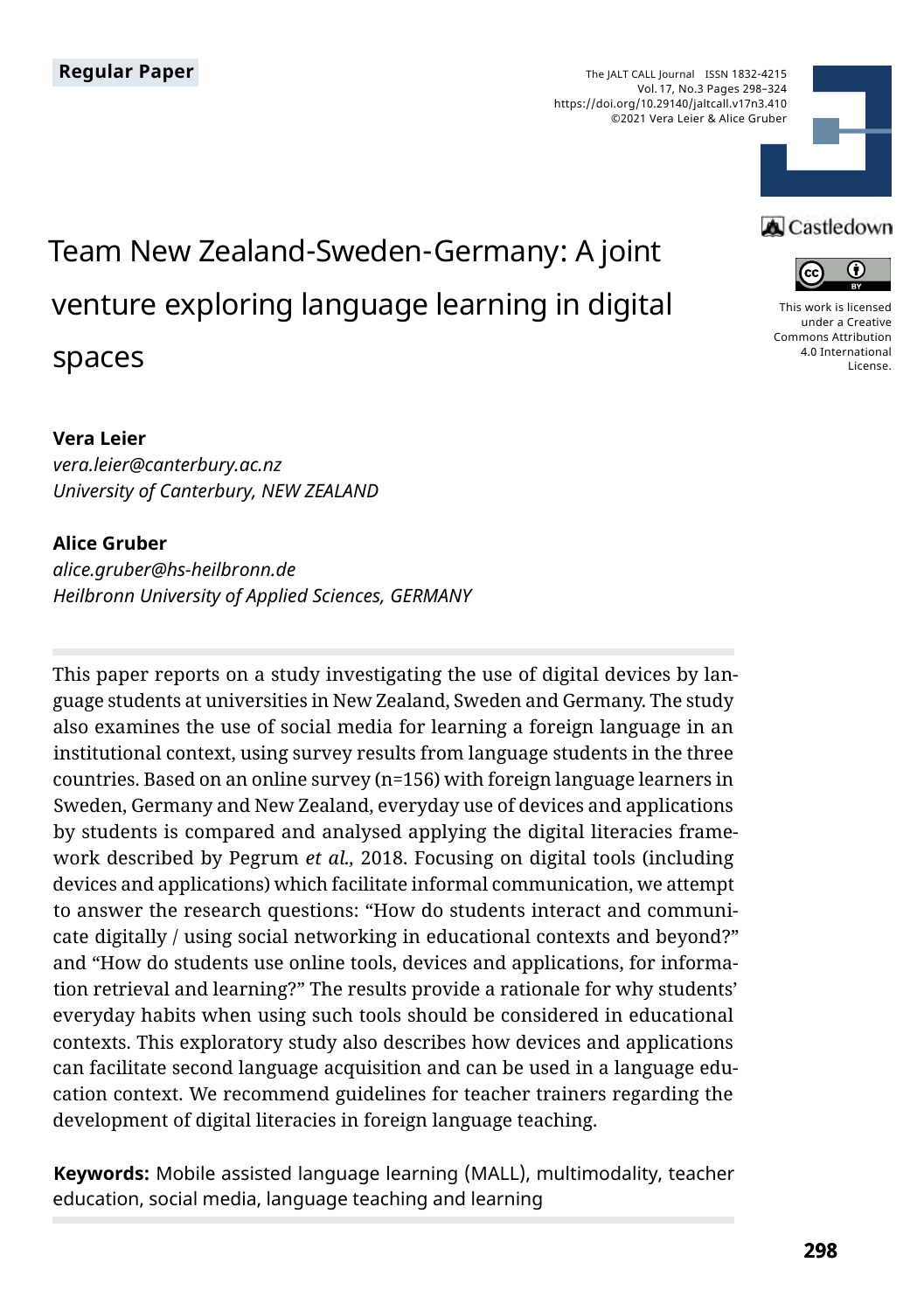The JALT CALL Journal ISSN 1832-4215 Vol. 17, No.3 Pages 298–324 https://doi.org/10.29140/jaltcall.v17n3.410 ©2021 Vera Leier & Alice Gruber



# Team New Zealand-Sweden-Germany: A joint venture exploring language learning in digital spaces

### **Vera Leier**

*vera.leier@canterbury.ac.nz University of Canterbury, NEW ZEALAND*

### **Alice Gruber**

*alice.gruber@hs-heilbronn.de Heilbronn University of Applied Sciences, GERMANY* 

This paper reports on a study investigating the use of digital devices by language students at universities in New Zealand, Sweden and Germany. The study also examines the use of social media for learning a foreign language in an institutional context, using survey results from language students in the three countries. Based on an online survey (n=156) with foreign language learners in Sweden, Germany and New Zealand, everyday use of devices and applications by students is compared and analysed applying the digital literacies framework described by Pegrum *et al.,* 2018. Focusing on digital tools (including devices and applications) which facilitate informal communication, we attempt to answer the research questions: "How do students interact and communicate digitally / using social networking in educational contexts and beyond?" and "How do students use online tools, devices and applications, for information retrieval and learning?" The results provide a rationale for why students' everyday habits when using such tools should be considered in educational contexts. This exploratory study also describes how devices and applications can facilitate second language acquisition and can be used in a language education context. We recommend guidelines for teacher trainers regarding the development of digital literacies in foreign language teaching.

**Keywords:** Mobile assisted language learning (MALL), multimodality, teacher education, social media, language teaching and learning

### **A** Castledown



[This work is licensed](https://creativecommons.org/licenses/by/4.0/)  [under a Creative](https://creativecommons.org/licenses/by/4.0/)  [Commons Attribution](https://creativecommons.org/licenses/by/4.0/)  [4.0 International](https://creativecommons.org/licenses/by/4.0/)  [License](https://creativecommons.org/licenses/by/4.0/).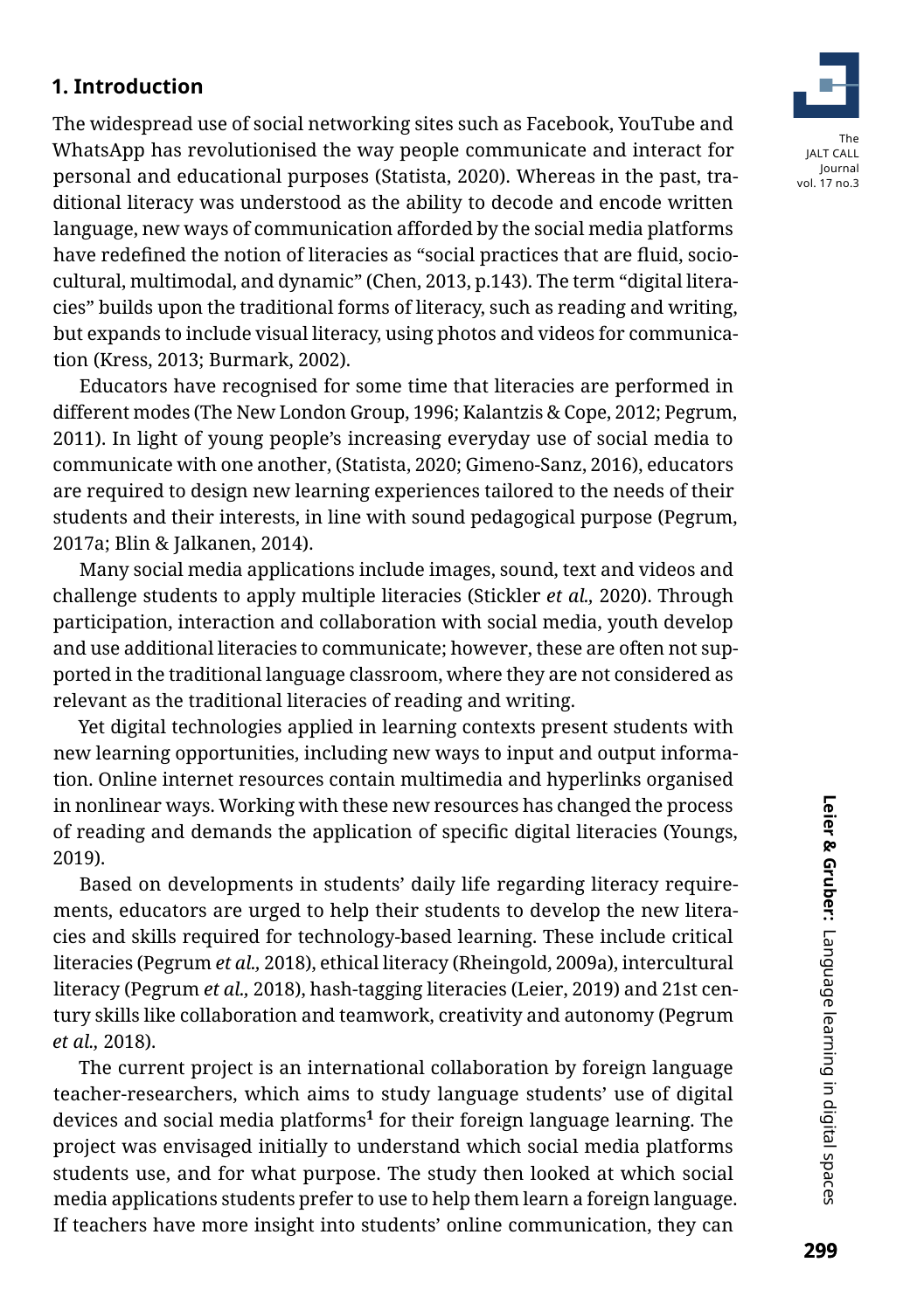### **1. Introduction**

The widespread use of social networking sites such as Facebook, YouTube and WhatsApp has revolutionised the way people communicate and interact for personal and educational purposes (Statista, 2020). Whereas in the past, traditional literacy was understood as the ability to decode and encode written language, new ways of communication afforded by the social media platforms have redefined the notion of literacies as "social practices that are fluid, sociocultural, multimodal, and dynamic" (Chen, 2013, p.143). The term "digital literacies" builds upon the traditional forms of literacy, such as reading and writing, but expands to include visual literacy, using photos and videos for communication (Kress, 2013; Burmark, 2002).

Educators have recognised for some time that literacies are performed in different modes (The New London Group, 1996; Kalantzis & Cope, 2012; Pegrum, 2011). In light of young people's increasing everyday use of social media to communicate with one another, (Statista, 2020; Gimeno-Sanz, 2016), educators are required to design new learning experiences tailored to the needs of their students and their interests, in line with sound pedagogical purpose (Pegrum, 2017a; Blin & Jalkanen, 2014).

Many social media applications include images, sound, text and videos and challenge students to apply multiple literacies (Stickler *et al.,* 2020). Through participation, interaction and collaboration with social media, youth develop and use additional literacies to communicate; however, these are often not supported in the traditional language classroom, where they are not considered as relevant as the traditional literacies of reading and writing.

Yet digital technologies applied in learning contexts present students with new learning opportunities, including new ways to input and output information. Online internet resources contain multimedia and hyperlinks organised in nonlinear ways. Working with these new resources has changed the process of reading and demands the application of specific digital literacies (Youngs, 2019).

Based on developments in students' daily life regarding literacy requirements, educators are urged to help their students to develop the new literacies and skills required for technology-based learning. These include critical literacies (Pegrum *et al.,* 2018), ethical literacy (Rheingold, 2009a), intercultural literacy (Pegrum *et al.,* 2018), hash-tagging literacies (Leier, 2019) and 21st century skills like collaboration and teamwork, creativity and autonomy (Pegrum *et al.,* 2018).

The current project is an international collaboration by foreign language teacher-researchers, which aims to study language students' use of digital devices and social media platforms**[1](#page-18-0)** for their foreign language learning. The project was envisaged initially to understand which social media platforms students use, and for what purpose. The study then looked at which social media applications students prefer to use to help them learn a foreign language. If teachers have more insight into students' online communication, they can

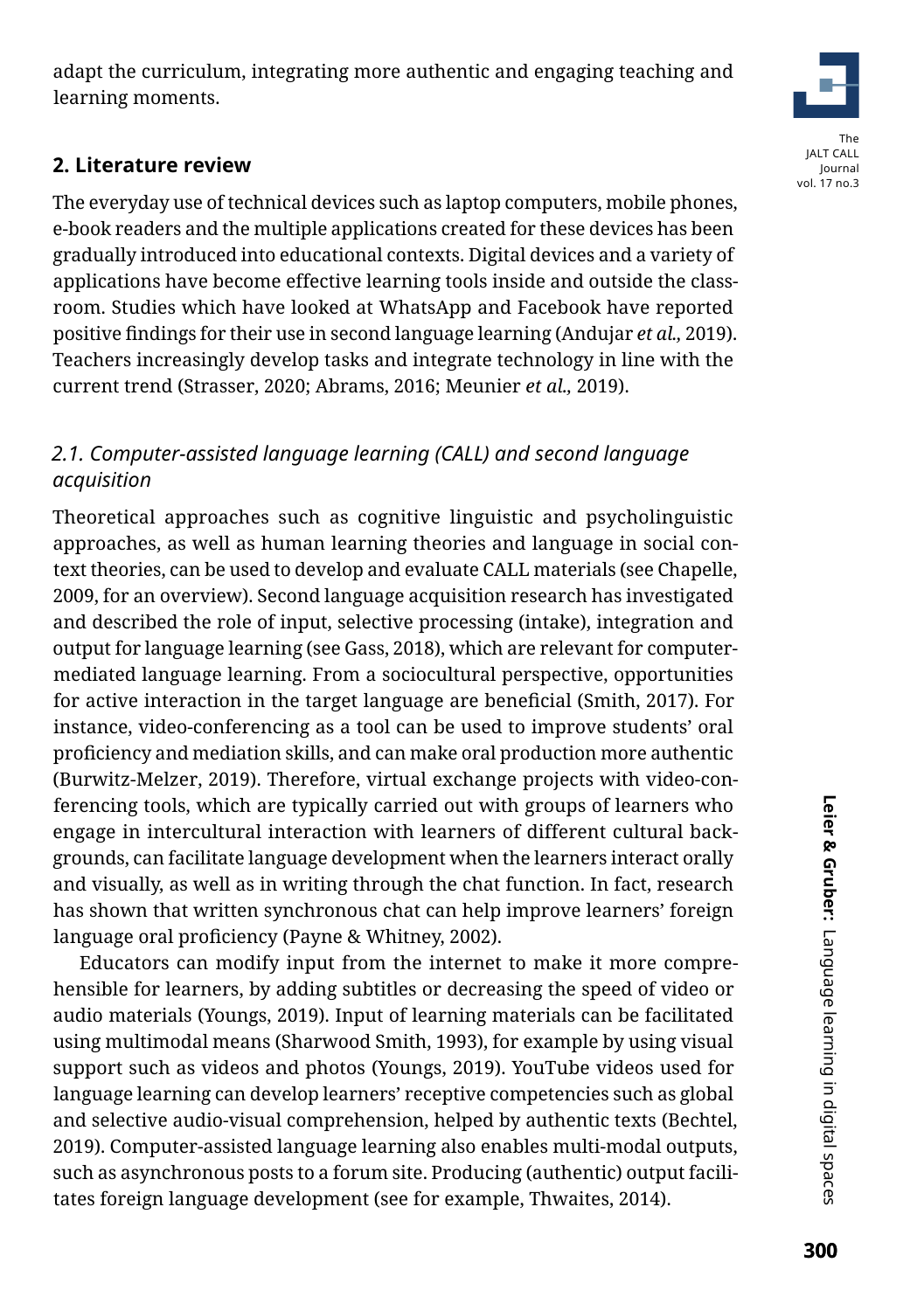adapt the curriculum, integrating more authentic and engaging teaching and learning moments.

# **2. Literature review**

The everyday use of technical devices such as laptop computers, mobile phones, e-book readers and the multiple applications created for these devices has been gradually introduced into educational contexts. Digital devices and a variety of applications have become effective learning tools inside and outside the classroom. Studies which have looked at WhatsApp and Facebook have reported positive findings for their use in second language learning (Andujar *et al.,* 2019). Teachers increasingly develop tasks and integrate technology in line with the current trend (Strasser, 2020; Abrams, 2016; Meunier *et al.,* 2019).

# *2.1. Computer-assisted language learning (CALL) and second language acquisition*

Theoretical approaches such as cognitive linguistic and psycholinguistic approaches, as well as human learning theories and language in social context theories, can be used to develop and evaluate CALL materials (see Chapelle, 2009, for an overview). Second language acquisition research has investigated and described the role of input, selective processing (intake), integration and output for language learning (see Gass, 2018), which are relevant for computermediated language learning. From a sociocultural perspective, opportunities for active interaction in the target language are beneficial (Smith, 2017). For instance, video-conferencing as a tool can be used to improve students' oral proficiency and mediation skills, and can make oral production more authentic (Burwitz-Melzer, 2019). Therefore, virtual exchange projects with video-conferencing tools, which are typically carried out with groups of learners who engage in intercultural interaction with learners of different cultural backgrounds, can facilitate language development when the learners interact orally and visually, as well as in writing through the chat function. In fact, research has shown that written synchronous chat can help improve learners' foreign language oral proficiency (Payne & Whitney, 2002).

Educators can modify input from the internet to make it more comprehensible for learners, by adding subtitles or decreasing the speed of video or audio materials (Youngs, 2019). Input of learning materials can be facilitated using multimodal means (Sharwood Smith, 1993), for example by using visual support such as videos and photos (Youngs, 2019). YouTube videos used for language learning can develop learners' receptive competencies such as global and selective audio-visual comprehension, helped by authentic texts (Bechtel, 2019). Computer-assisted language learning also enables multi-modal outputs, such as asynchronous posts to a forum site. Producing (authentic) output facilitates foreign language development (see for example, Thwaites, 2014).

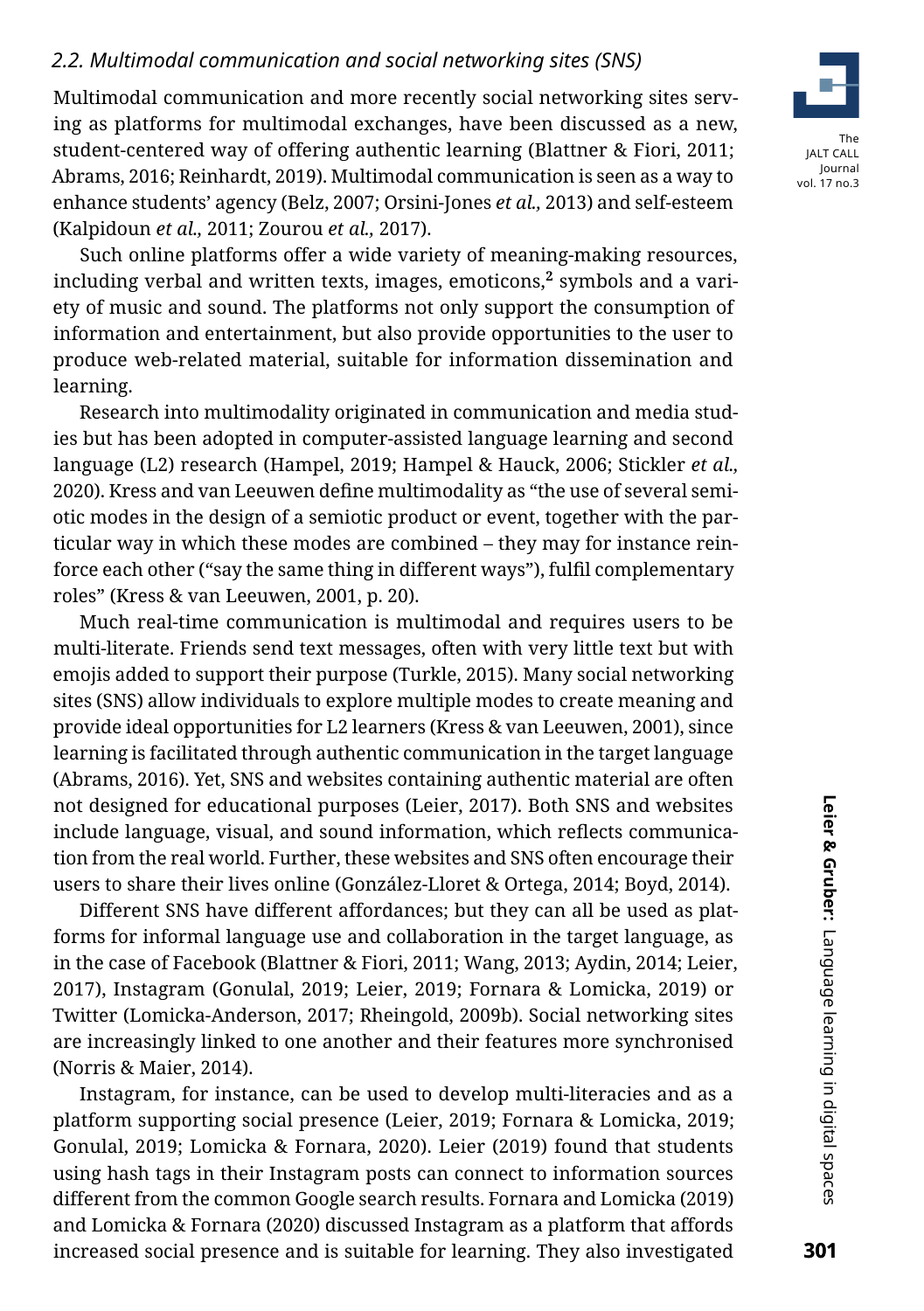### *2.2. Multimodal communication and social networking sites (SNS)*

Multimodal communication and more recently social networking sites serving as platforms for multimodal exchanges, have been discussed as a new, student-centered way of offering authentic learning (Blattner & Fiori, 2011; Abrams, 2016; Reinhardt, 2019). Multimodal communication is seen as a way to enhance students' agency (Belz, 2007; Orsini-Jones *et al.,* 2013) and self-esteem (Kalpidoun *et al.,* 2011; Zourou *et al.,* 2017).

Such online platforms offer a wide variety of meaning-making resources, including verbal and written texts, images, emoticons,**[2](#page-18-1)** symbols and a variety of music and sound. The platforms not only support the consumption of information and entertainment, but also provide opportunities to the user to produce web-related material, suitable for information dissemination and learning.

Research into multimodality originated in communication and media studies but has been adopted in computer-assisted language learning and second language (L2) research (Hampel, 2019; Hampel & Hauck, 2006; Stickler *et al.,* 2020). Kress and van Leeuwen define multimodality as "the use of several semiotic modes in the design of a semiotic product or event, together with the particular way in which these modes are combined – they may for instance reinforce each other ("say the same thing in different ways"), fulfil complementary roles" (Kress & van Leeuwen, 2001, p. 20).

Much real-time communication is multimodal and requires users to be multi-literate. Friends send text messages, often with very little text but with emojis added to support their purpose (Turkle, 2015). Many social networking sites (SNS) allow individuals to explore multiple modes to create meaning and provide ideal opportunities for L2 learners (Kress & van Leeuwen, 2001), since learning is facilitated through authentic communication in the target language (Abrams, 2016). Yet, SNS and websites containing authentic material are often not designed for educational purposes (Leier, 2017). Both SNS and websites include language, visual, and sound information, which reflects communication from the real world. Further, these websites and SNS often encourage their users to share their lives online (González-Lloret & Ortega, 2014; Boyd, 2014).

Different SNS have different affordances; but they can all be used as platforms for informal language use and collaboration in the target language, as in the case of Facebook (Blattner & Fiori, 2011; Wang, 2013; Aydin, 2014; Leier, 2017), Instagram (Gonulal, 2019; Leier, 2019; Fornara & Lomicka, 2019) or Twitter (Lomicka-Anderson, 2017; Rheingold, 2009b). Social networking sites are increasingly linked to one another and their features more synchronised (Norris & Maier, 2014).

Instagram, for instance, can be used to develop multi-literacies and as a platform supporting social presence (Leier, 2019; Fornara & Lomicka, 2019; Gonulal, 2019; Lomicka & Fornara, 2020). Leier (2019) found that students using hash tags in their Instagram posts can connect to information sources different from the common Google search results. Fornara and Lomicka (2019) and Lomicka & Fornara (2020) discussed Instagram as a platform that affords increased social presence and is suitable for learning. They also investigated

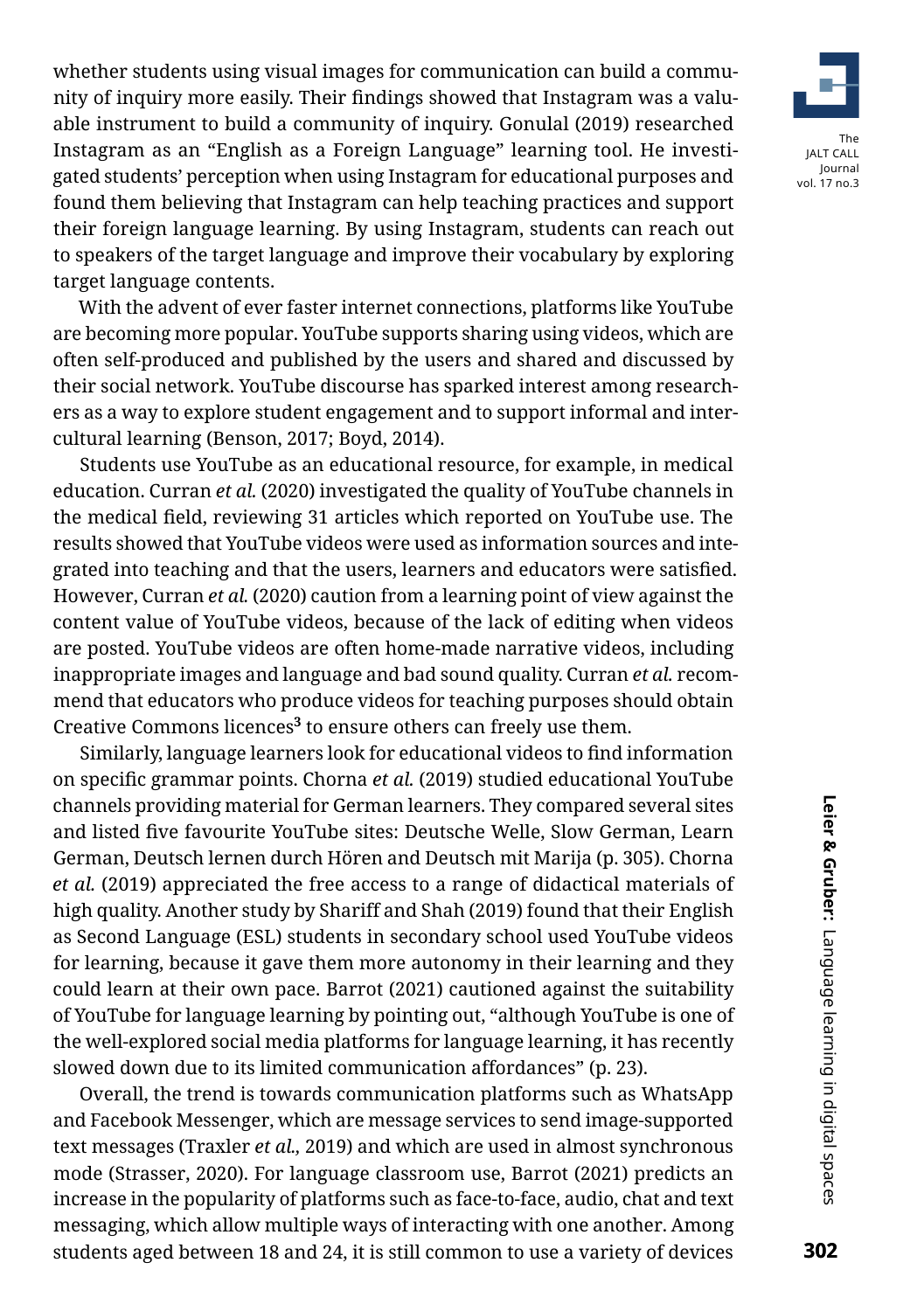whether students using visual images for communication can build a community of inquiry more easily. Their findings showed that Instagram was a valuable instrument to build a community of inquiry. Gonulal (2019) researched Instagram as an "English as a Foreign Language" learning tool. He investigated students' perception when using Instagram for educational purposes and found them believing that Instagram can help teaching practices and support their foreign language learning. By using Instagram, students can reach out to speakers of the target language and improve their vocabulary by exploring target language contents.

With the advent of ever faster internet connections, platforms like YouTube are becoming more popular. YouTube supports sharing using videos, which are often self-produced and published by the users and shared and discussed by their social network. YouTube discourse has sparked interest among researchers as a way to explore student engagement and to support informal and intercultural learning (Benson, 2017; Boyd, 2014).

Students use YouTube as an educational resource, for example, in medical education. Curran *et al.* (2020) investigated the quality of YouTube channels in the medical field, reviewing 31 articles which reported on YouTube use. The results showed that YouTube videos were used as information sources and integrated into teaching and that the users, learners and educators were satisfied. However, Curran *et al.* (2020) caution from a learning point of view against the content value of YouTube videos, because of the lack of editing when videos are posted. YouTube videos are often home-made narrative videos, including inappropriate images and language and bad sound quality. Curran *et al.* recommend that educators who produce videos for teaching purposes should obtain Creative Commons licences**[3](#page-18-2)** to ensure others can freely use them.

Similarly, language learners look for educational videos to find information on specific grammar points. Chorna *et al.* (2019) studied educational YouTube channels providing material for German learners. They compared several sites and listed five favourite YouTube sites: Deutsche Welle, Slow German, Learn German, Deutsch lernen durch Hören and Deutsch mit Marija (p. 305). Chorna *et al.* (2019) appreciated the free access to a range of didactical materials of high quality. Another study by Shariff and Shah (2019) found that their English as Second Language (ESL) students in secondary school used YouTube videos for learning, because it gave them more autonomy in their learning and they could learn at their own pace. Barrot (2021) cautioned against the suitability of YouTube for language learning by pointing out, "although YouTube is one of the well-explored social media platforms for language learning, it has recently slowed down due to its limited communication affordances" (p. 23).

Overall, the trend is towards communication platforms such as WhatsApp and Facebook Messenger, which are message services to send image-supported text messages (Traxler *et al.,* 2019) and which are used in almost synchronous mode (Strasser, 2020). For language classroom use, Barrot (2021) predicts an increase in the popularity of platforms such as face-to-face, audio, chat and text messaging, which allow multiple ways of interacting with one another. Among students aged between 18 and 24, it is still common to use a variety of devices

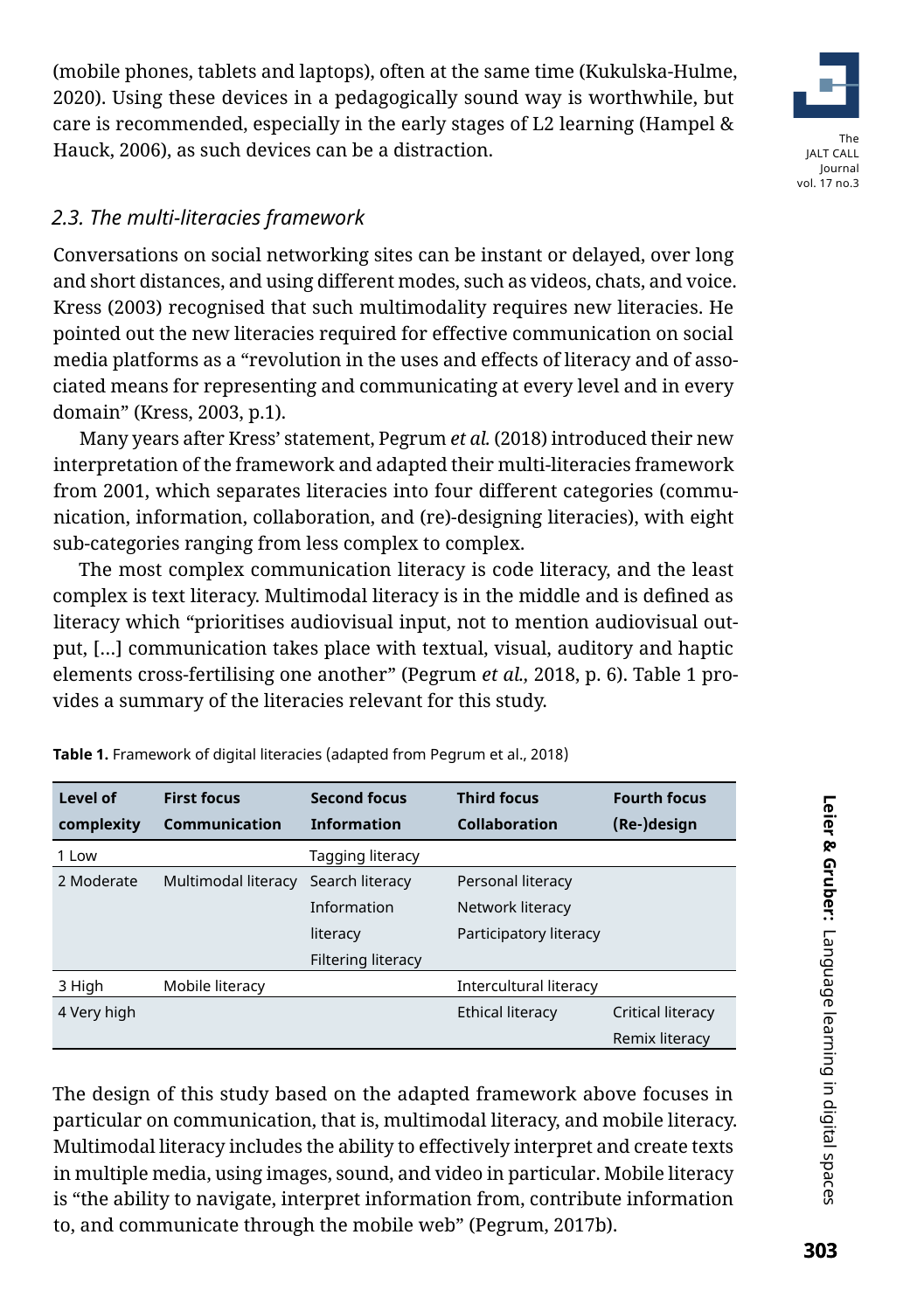(mobile phones, tablets and laptops), often at the same time (Kukulska-Hulme, 2020). Using these devices in a pedagogically sound way is worthwhile, but care is recommended, especially in the early stages of L2 learning (Hampel & Hauck, 2006), as such devices can be a distraction.



### *2.3. The multi-literacies framework*

Conversations on social networking sites can be instant or delayed, over long and short distances, and using different modes, such as videos, chats, and voice. Kress (2003) recognised that such multimodality requires new literacies. He pointed out the new literacies required for effective communication on social media platforms as a "revolution in the uses and effects of literacy and of associated means for representing and communicating at every level and in every domain" (Kress, 2003, p.1).

Many years after Kress' statement, Pegrum *et al.* (2018) introduced their new interpretation of the framework and adapted their multi-literacies framework from 2001, which separates literacies into four different categories (communication, information, collaboration, and (re)-designing literacies), with eight sub-categories ranging from less complex to complex.

The most complex communication literacy is code literacy, and the least complex is text literacy. Multimodal literacy is in the middle and is defined as literacy which "prioritises audiovisual input, not to mention audiovisual output, […] communication takes place with textual, visual, auditory and haptic elements cross-fertilising one another" (Pegrum *et al.,* 2018, p. 6). Table 1 provides a summary of the literacies relevant for this study.

| Level of    | <b>First focus</b>   | <b>Second focus</b> | <b>Third focus</b>     | <b>Fourth focus</b> |
|-------------|----------------------|---------------------|------------------------|---------------------|
| complexity  | <b>Communication</b> | <b>Information</b>  | <b>Collaboration</b>   | (Re-)design         |
| 1 Low       |                      | Tagging literacy    |                        |                     |
| 2 Moderate  | Multimodal literacy  | Search literacy     | Personal literacy      |                     |
|             |                      | Information         | Network literacy       |                     |
|             |                      | literacy            | Participatory literacy |                     |
|             |                      | Filtering literacy  |                        |                     |
| 3 High      | Mobile literacy      |                     | Intercultural literacy |                     |
| 4 Very high |                      |                     | Ethical literacy       | Critical literacy   |
|             |                      |                     |                        | Remix literacy      |

**Table 1.** Framework of digital literacies (adapted from Pegrum et al., 2018)

The design of this study based on the adapted framework above focuses in particular on communication, that is, multimodal literacy, and mobile literacy. Multimodal literacy includes the ability to effectively interpret and create texts in multiple media, using images, sound, and video in particular. Mobile literacy is "the ability to navigate, interpret information from, contribute information to, and communicate through the mobile web" (Pegrum, 2017b).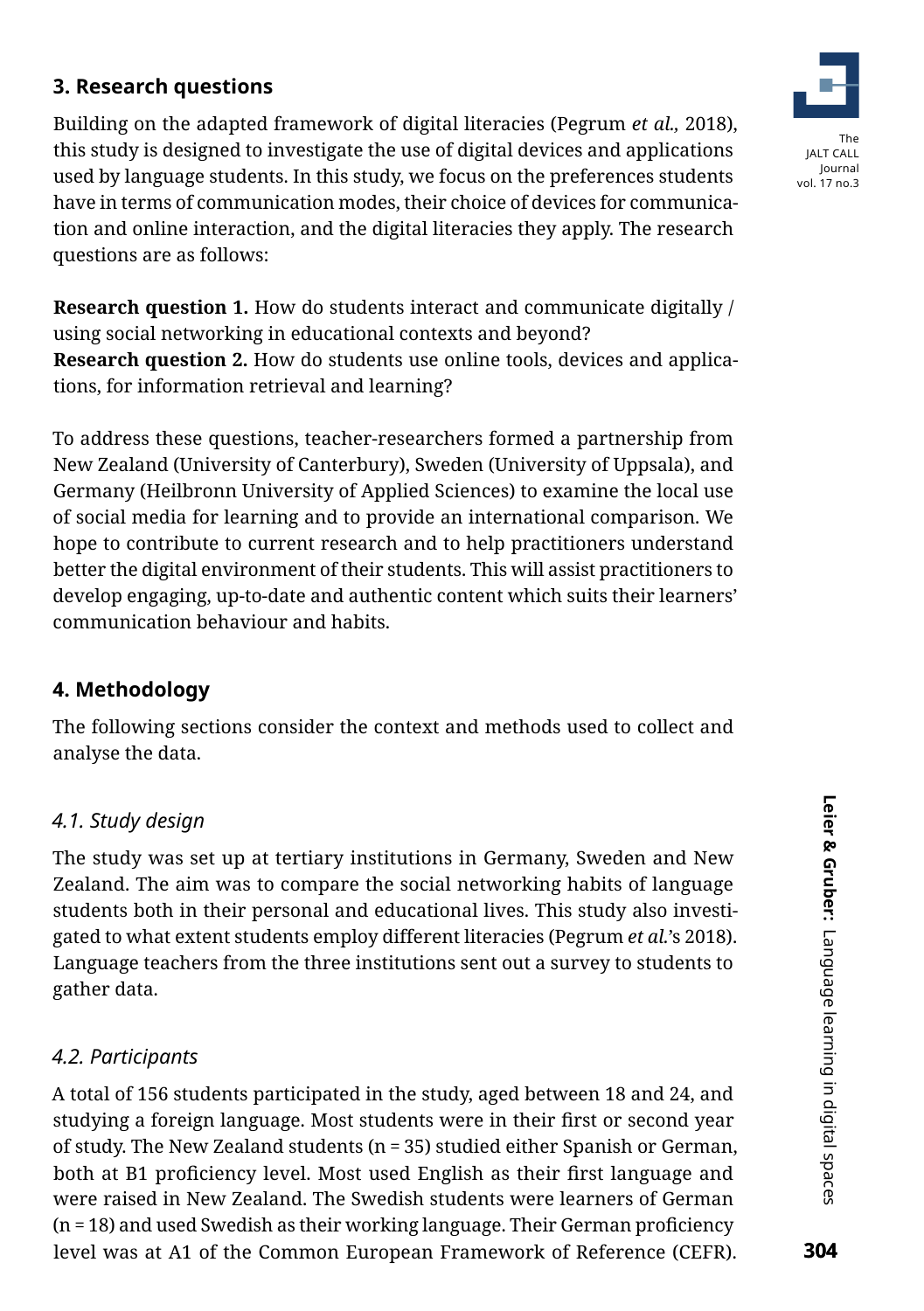# **3. Research questions**

Building on the adapted framework of digital literacies (Pegrum *et al.,* 2018), this study is designed to investigate the use of digital devices and applications used by language students. In this study, we focus on the preferences students have in terms of communication modes, their choice of devices for communication and online interaction, and the digital literacies they apply. The research questions are as follows:

**Research question 1.** How do students interact and communicate digitally / using social networking in educational contexts and beyond? **Research question 2.** How do students use online tools, devices and applications, for information retrieval and learning?

To address these questions, teacher-researchers formed a partnership from New Zealand (University of Canterbury), Sweden (University of Uppsala), and Germany (Heilbronn University of Applied Sciences) to examine the local use of social media for learning and to provide an international comparison. We hope to contribute to current research and to help practitioners understand better the digital environment of their students. This will assist practitioners to develop engaging, up-to-date and authentic content which suits their learners' communication behaviour and habits.

# **4. Methodology**

The following sections consider the context and methods used to collect and analyse the data.

### *4.1. Study design*

The study was set up at tertiary institutions in Germany, Sweden and New Zealand. The aim was to compare the social networking habits of language students both in their personal and educational lives. This study also investigated to what extent students employ different literacies (Pegrum *et al.*'s 2018). Language teachers from the three institutions sent out a survey to students to gather data.

### *4.2. Participants*

A total of 156 students participated in the study, aged between 18 and 24, and studying a foreign language. Most students were in their first or second year of study. The New Zealand students (n = 35) studied either Spanish or German, both at B1 proficiency level. Most used English as their first language and were raised in New Zealand. The Swedish students were learners of German (n = 18) and used Swedish as their working language. Their German proficiency level was at A1 of the Common European Framework of Reference (CEFR).

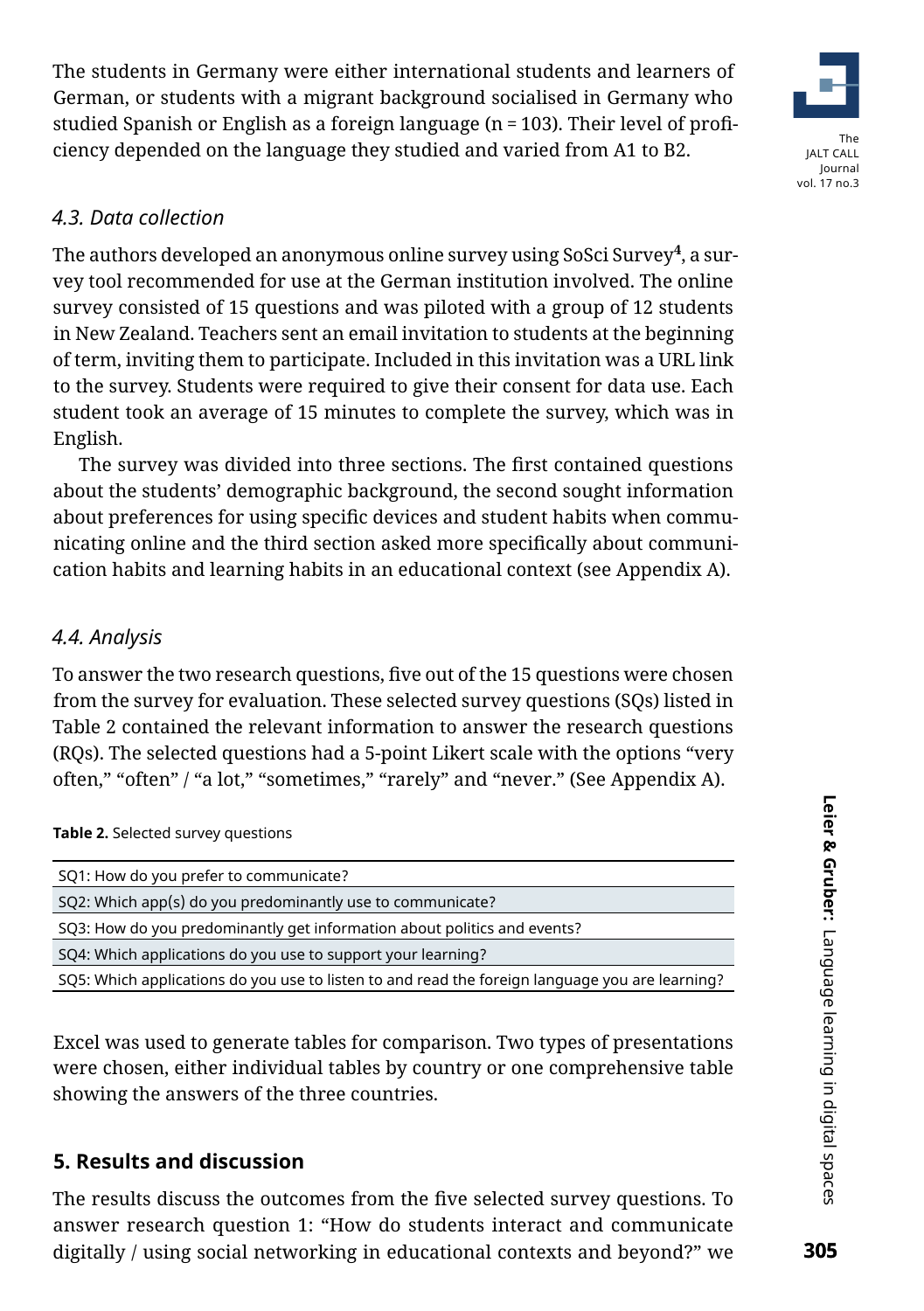The students in Germany were either international students and learners of German, or students with a migrant background socialised in Germany who studied Spanish or English as a foreign language (n = 103). Their level of proficiency depended on the language they studied and varied from A1 to B2.



### *4.3. Data collection*

The authors developed an anonymous online survey using [SoSci Survey](https://www.soscisurvey.de/)**[4](#page-18-3)** , a survey tool recommended for use at the German institution involved. The online survey consisted of 15 questions and was piloted with a group of 12 students in New Zealand. Teachers sent an email invitation to students at the beginning of term, inviting them to participate. Included in this invitation was a URL link to the survey. Students were required to give their consent for data use. Each student took an average of 15 minutes to complete the survey, which was in English.

The survey was divided into three sections. The first contained questions about the students' demographic background, the second sought information about preferences for using specific devices and student habits when communicating online and the third section asked more specifically about communication habits and learning habits in an educational context (see Appendix A).

### *4.4. Analysis*

To answer the two research questions, five out of the 15 questions were chosen from the survey for evaluation. These selected survey questions (SQs) listed in Table 2 contained the relevant information to answer the research questions (RQs). The selected questions had a 5-point Likert scale with the options "very often," "often" / "a lot," "sometimes," "rarely" and "never." (See Appendix A).

**Table 2.** Selected survey questions

| SQ1: How do you prefer to communicate?                                                          |  |  |  |  |
|-------------------------------------------------------------------------------------------------|--|--|--|--|
| SQ2: Which app(s) do you predominantly use to communicate?                                      |  |  |  |  |
| SQ3: How do you predominantly get information about politics and events?                        |  |  |  |  |
| SQ4: Which applications do you use to support your learning?                                    |  |  |  |  |
| SQ5: Which applications do you use to listen to and read the foreign language you are learning? |  |  |  |  |

Excel was used to generate tables for comparison. Two types of presentations were chosen, either individual tables by country or one comprehensive table showing the answers of the three countries.

### **5. Results and discussion**

The results discuss the outcomes from the five selected survey questions. To answer research question 1: "How do students interact and communicate digitally / using social networking in educational contexts and beyond?" we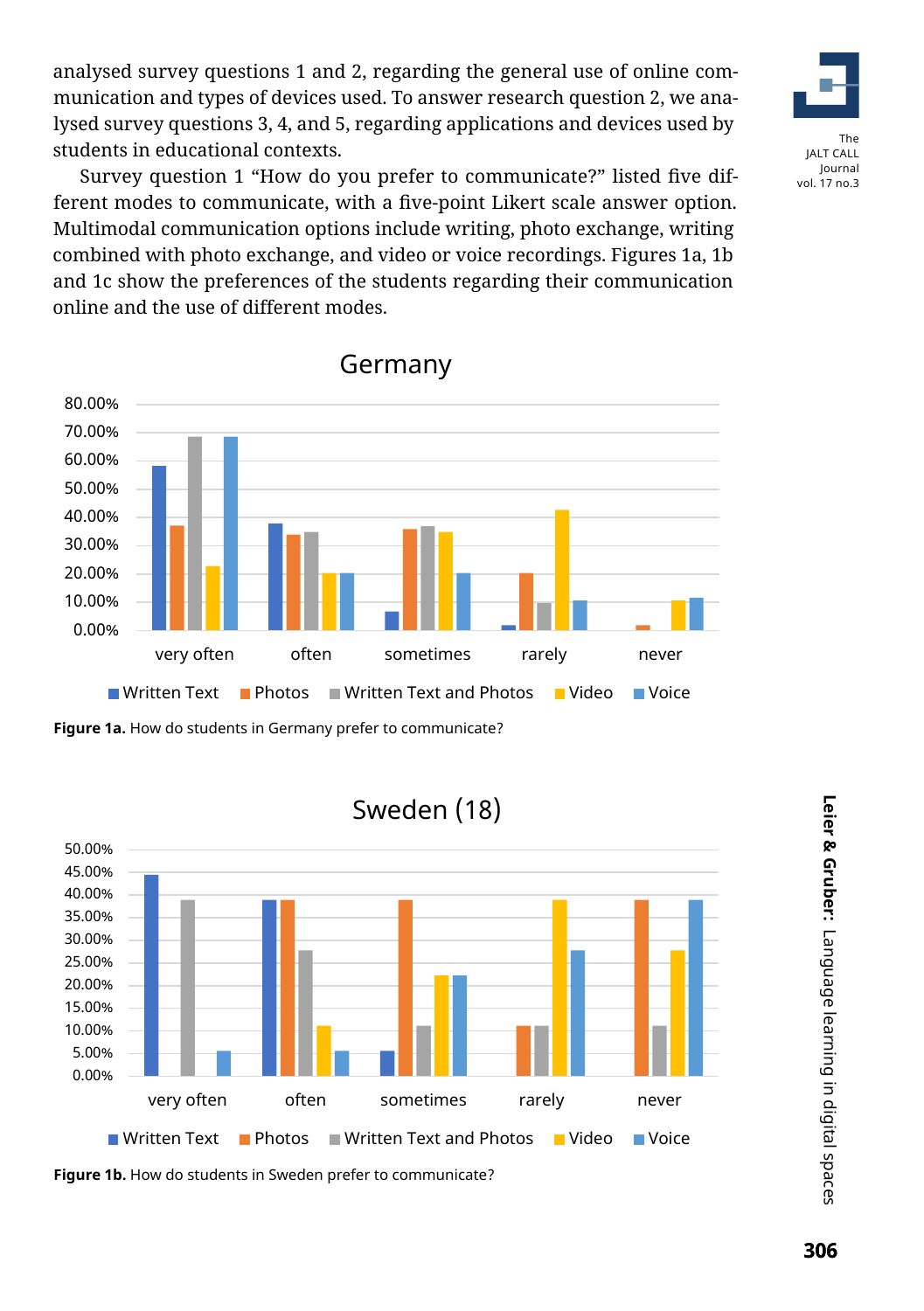analysed survey questions 1 and 2, regarding the general use of online communication and types of devices used. To answer research question 2, we analysed survey questions 3, 4, and 5, regarding applications and devices used by students in educational contexts.



Survey question 1 "How do you prefer to communicate?" listed five different modes to communicate, with a five-point Likert scale answer option. Multimodal communication options include writing, photo exchange, writing combined with photo exchange, and video or voice recordings. Figures 1a, 1b and 1c show the preferences of the students regarding their communication online and the use of different modes.



Germany



**Figure 1b.** How do students in Sweden prefer to communicate?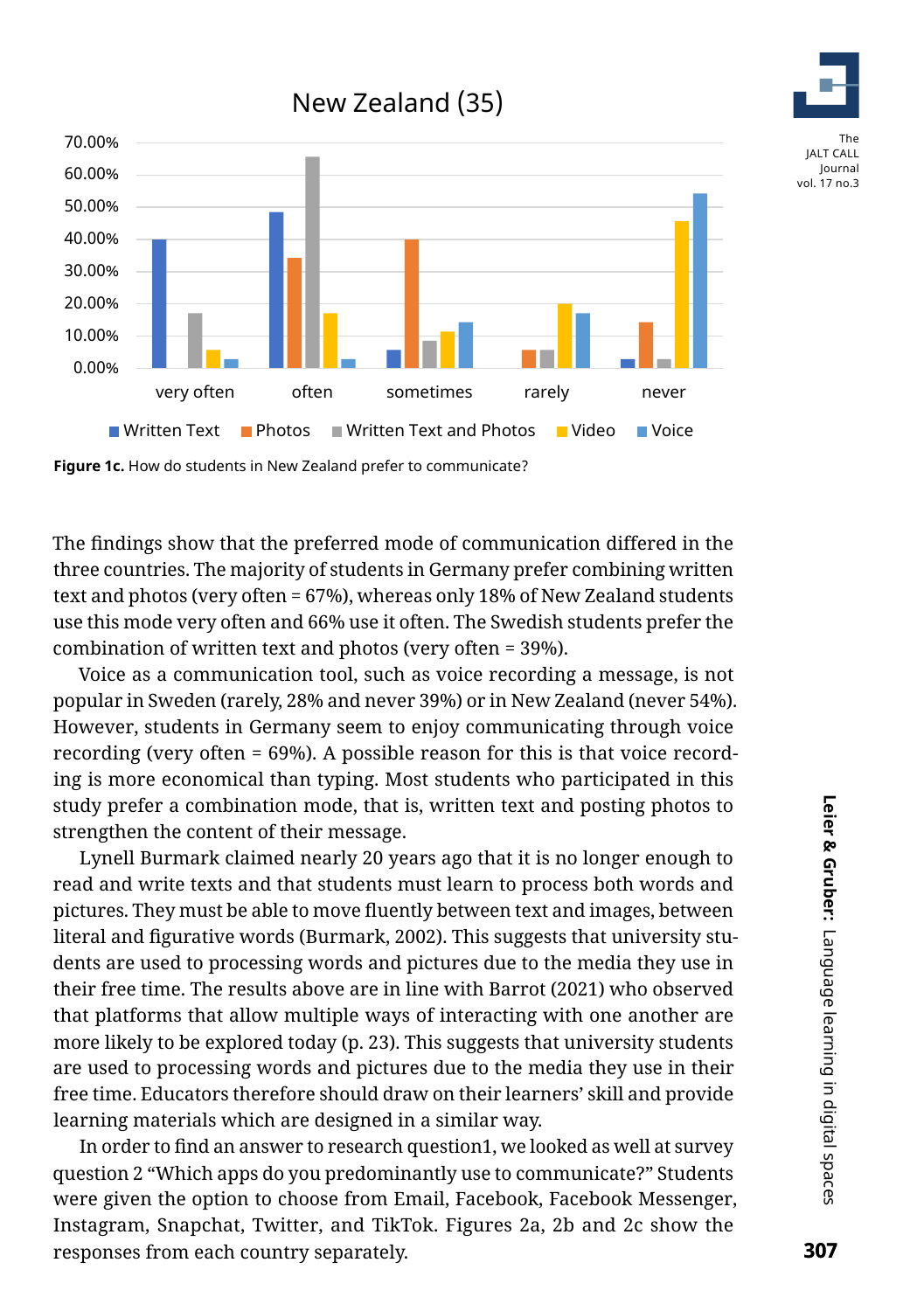# New Zealand (35)



Figure 1c. How do students in New Zealand prefer to communicate?

The findings show that the preferred mode of communication differed in the three countries. The majority of students in Germany prefer combining written text and photos (very often = 67%), whereas only 18% of New Zealand students use this mode very often and 66% use it often. The Swedish students prefer the combination of written text and photos (very often = 39%).

Voice as a communication tool, such as voice recording a message, is not popular in Sweden (rarely, 28% and never 39%) or in New Zealand (never 54%). However, students in Germany seem to enjoy communicating through voice recording (very often = 69%). A possible reason for this is that voice recording is more economical than typing. Most students who participated in this study prefer a combination mode, that is, written text and posting photos to strengthen the content of their message.

Lynell Burmark claimed nearly 20 years ago that it is no longer enough to read and write texts and that students must learn to process both words and pictures. They must be able to move fluently between text and images, between literal and figurative words (Burmark, 2002). This suggests that university students are used to processing words and pictures due to the media they use in their free time. The results above are in line with Barrot (2021) who observed that platforms that allow multiple ways of interacting with one another are more likely to be explored today (p. 23). This suggests that university students are used to processing words and pictures due to the media they use in their free time. Educators therefore should draw on their learners' skill and provide learning materials which are designed in a similar way.

In order to find an answer to research question1, we looked as well at survey question 2 "Which apps do you predominantly use to communicate?" Students were given the option to choose from Email, Facebook, Facebook Messenger, Instagram, Snapchat, Twitter, and TikTok. Figures 2a, 2b and 2c show the responses from each country separately.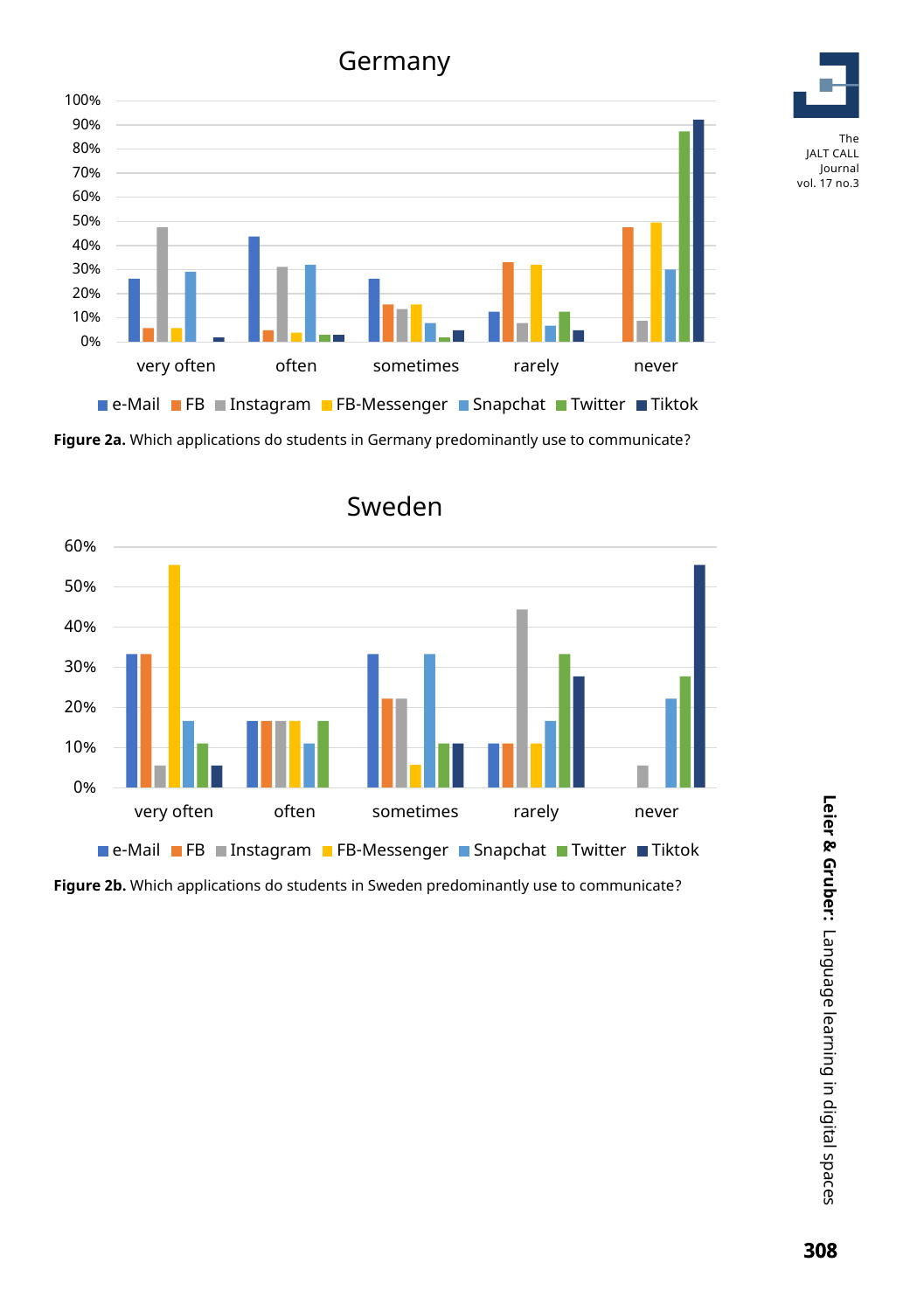Germany



**Figure 2a.** Which applications do students in Germany predominantly use to communicate?



**Figure 2b.** Which applications do students in Sweden predominantly use to communicate?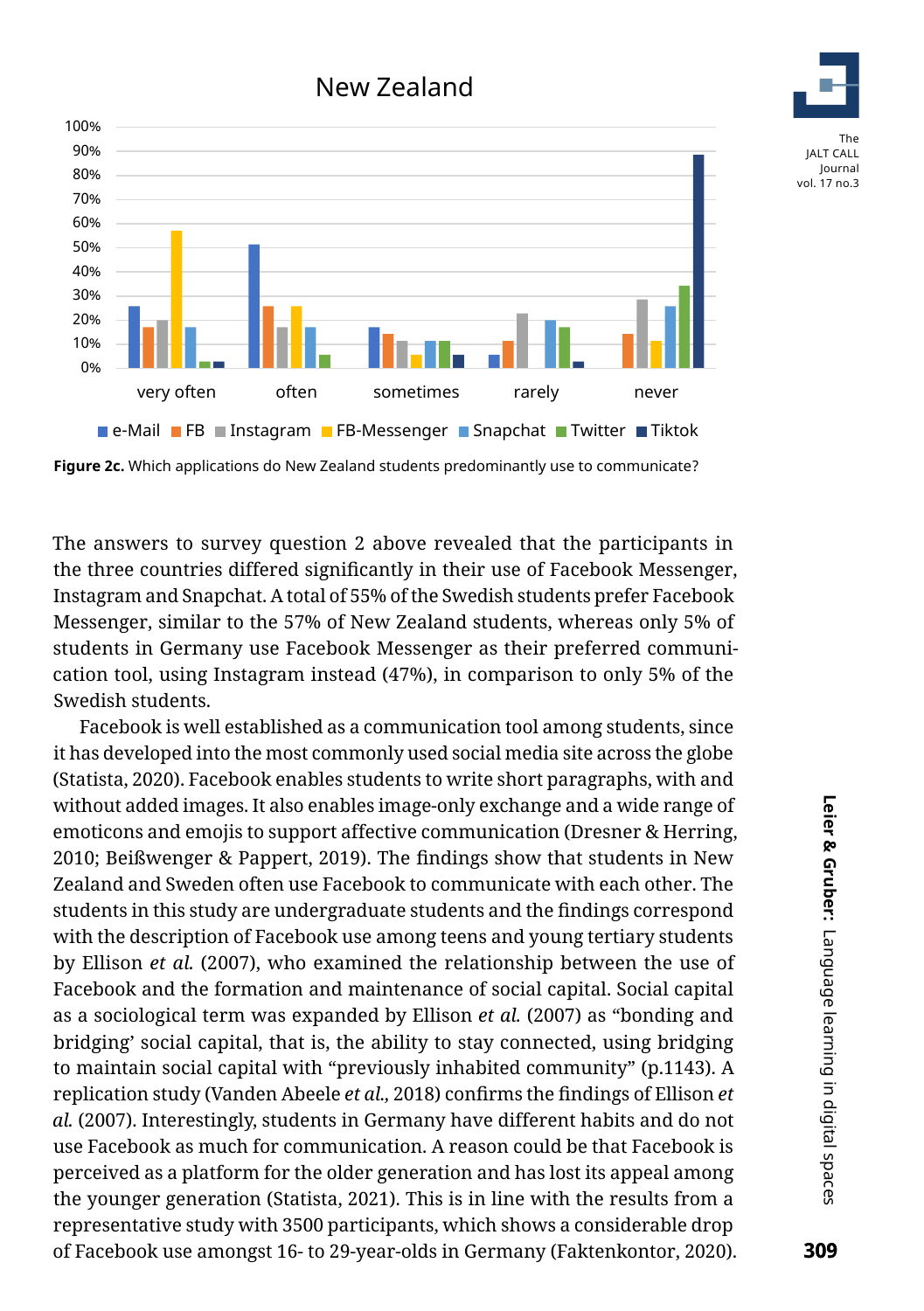

**Figure 2c.** Which applications do New Zealand students predominantly use to communicate?

The answers to survey question 2 above revealed that the participants in the three countries differed significantly in their use of Facebook Messenger, Instagram and Snapchat. A total of 55% of the Swedish students prefer Facebook Messenger, similar to the 57% of New Zealand students, whereas only 5% of students in Germany use Facebook Messenger as their preferred communication tool, using Instagram instead (47%), in comparison to only 5% of the Swedish students.

Facebook is well established as a communication tool among students, since it has developed into the most commonly used social media site across the globe (Statista, 2020). Facebook enables students to write short paragraphs, with and without added images. It also enables image-only exchange and a wide range of emoticons and emojis to support affective communication (Dresner & Herring, 2010; Beißwenger & Pappert, 2019). The findings show that students in New Zealand and Sweden often use Facebook to communicate with each other. The students in this study are undergraduate students and the findings correspond with the description of Facebook use among teens and young tertiary students by Ellison *et al.* (2007), who examined the relationship between the use of Facebook and the formation and maintenance of social capital. Social capital as a sociological term was expanded by Ellison *et al.* (2007) as "bonding and bridging' social capital, that is, the ability to stay connected, using bridging to maintain social capital with "previously inhabited community" (p.1143). A replication study (Vanden Abeele *et al.,* 2018) confirms the findings of Ellison *et al.* (2007). Interestingly, students in Germany have different habits and do not use Facebook as much for communication. A reason could be that Facebook is perceived as a platform for the older generation and has lost its appeal among the younger generation (Statista, 2021). This is in line with the results from a representative study with 3500 participants, which shows a considerable drop of Facebook use amongst 16- to 29-year-olds in Germany (Faktenkontor, 2020). The

Journal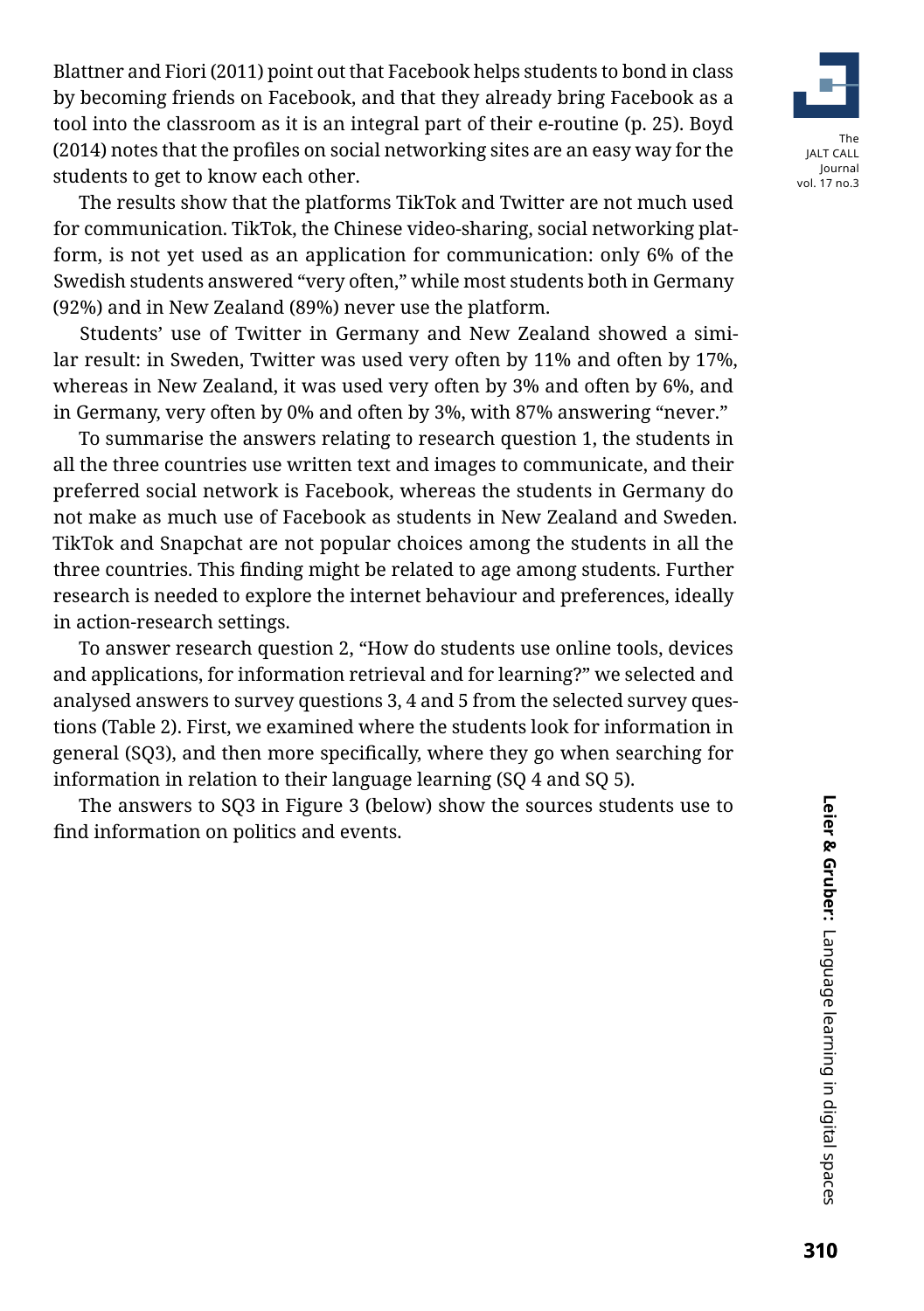Blattner and Fiori (2011) point out that Facebook helps students to bond in class by becoming friends on Facebook, and that they already bring Facebook as a tool into the classroom as it is an integral part of their e-routine (p. 25). Boyd (2014) notes that the profiles on social networking sites are an easy way for the students to get to know each other.

The results show that the platforms TikTok and Twitter are not much used for communication. TikTok, the Chinese video-sharing, social networking platform, is not yet used as an application for communication: only 6% of the Swedish students answered "very often," while most students both in Germany (92%) and in New Zealand (89%) never use the platform.

Students' use of Twitter in Germany and New Zealand showed a similar result: in Sweden, Twitter was used very often by 11% and often by 17%, whereas in New Zealand, it was used very often by 3% and often by 6%, and in Germany, very often by 0% and often by 3%, with 87% answering "never."

To summarise the answers relating to research question 1, the students in all the three countries use written text and images to communicate, and their preferred social network is Facebook, whereas the students in Germany do not make as much use of Facebook as students in New Zealand and Sweden. TikTok and Snapchat are not popular choices among the students in all the three countries. This finding might be related to age among students. Further research is needed to explore the internet behaviour and preferences, ideally in action-research settings.

To answer research question 2, "How do students use online tools, devices and applications, for information retrieval and for learning?" we selected and analysed answers to survey questions 3, 4 and 5 from the selected survey questions (Table 2). First, we examined where the students look for information in general (SQ3), and then more specifically, where they go when searching for information in relation to their language learning (SQ 4 and SQ 5).

The answers to SQ3 in Figure 3 (below) show the sources students use to find information on politics and events.

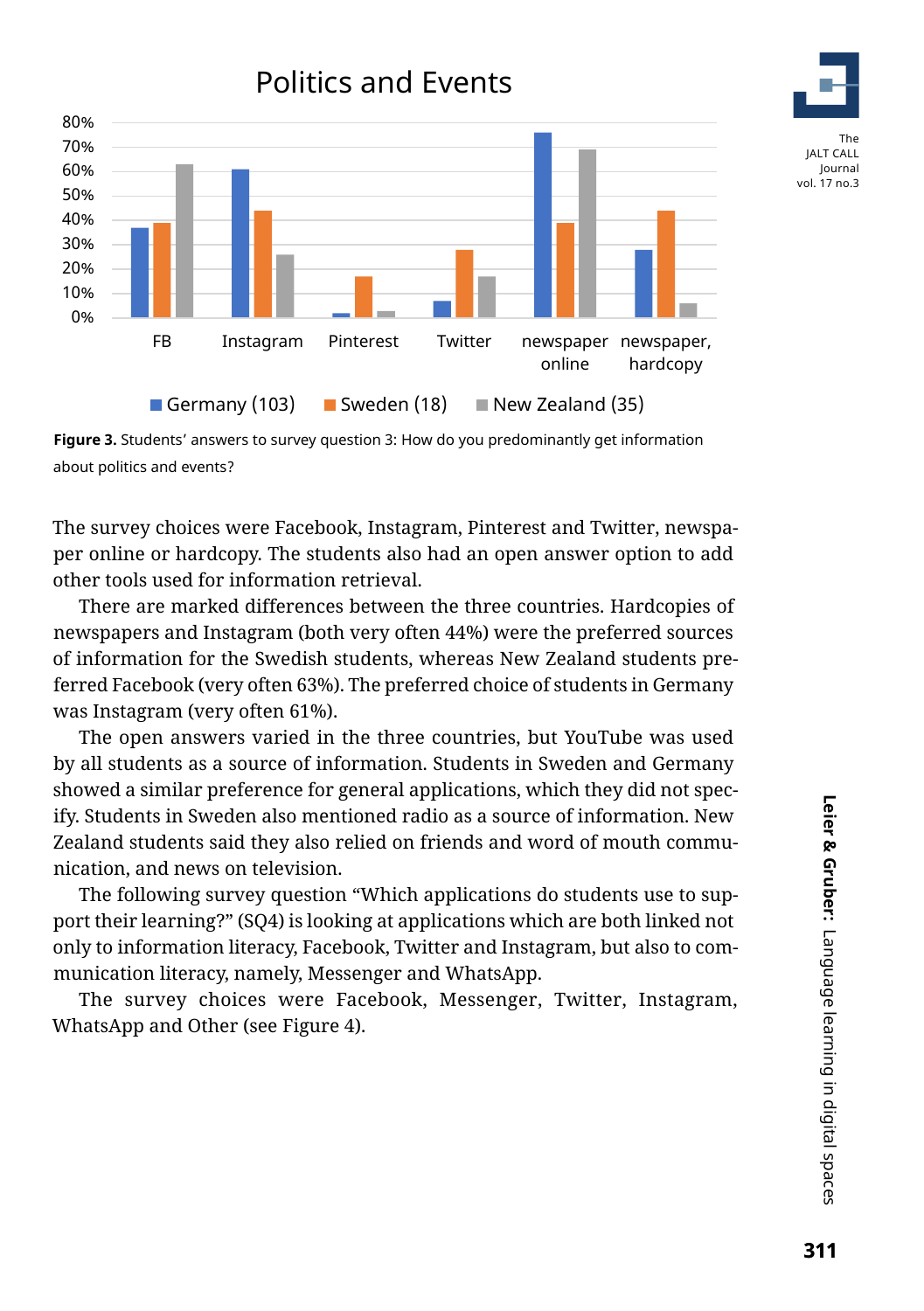

**Figure 3.** Students' answers to survey question 3: How do you predominantly get information about politics and events?

The survey choices were Facebook, Instagram, Pinterest and Twitter, newspaper online or hardcopy. The students also had an open answer option to add other tools used for information retrieval.

There are marked differences between the three countries. Hardcopies of newspapers and Instagram (both very often 44%) were the preferred sources of information for the Swedish students, whereas New Zealand students preferred Facebook (very often 63%). The preferred choice of students in Germany was Instagram (very often 61%).

The open answers varied in the three countries, but YouTube was used by all students as a source of information. Students in Sweden and Germany showed a similar preference for general applications, which they did not specify. Students in Sweden also mentioned radio as a source of information. New Zealand students said they also relied on friends and word of mouth communication, and news on television.

The following survey question "Which applications do students use to support their learning?" (SQ4) is looking at applications which are both linked not only to information literacy, Facebook, Twitter and Instagram, but also to communication literacy, namely, Messenger and WhatsApp.

The survey choices were Facebook, Messenger, Twitter, Instagram, WhatsApp and Other (see Figure 4).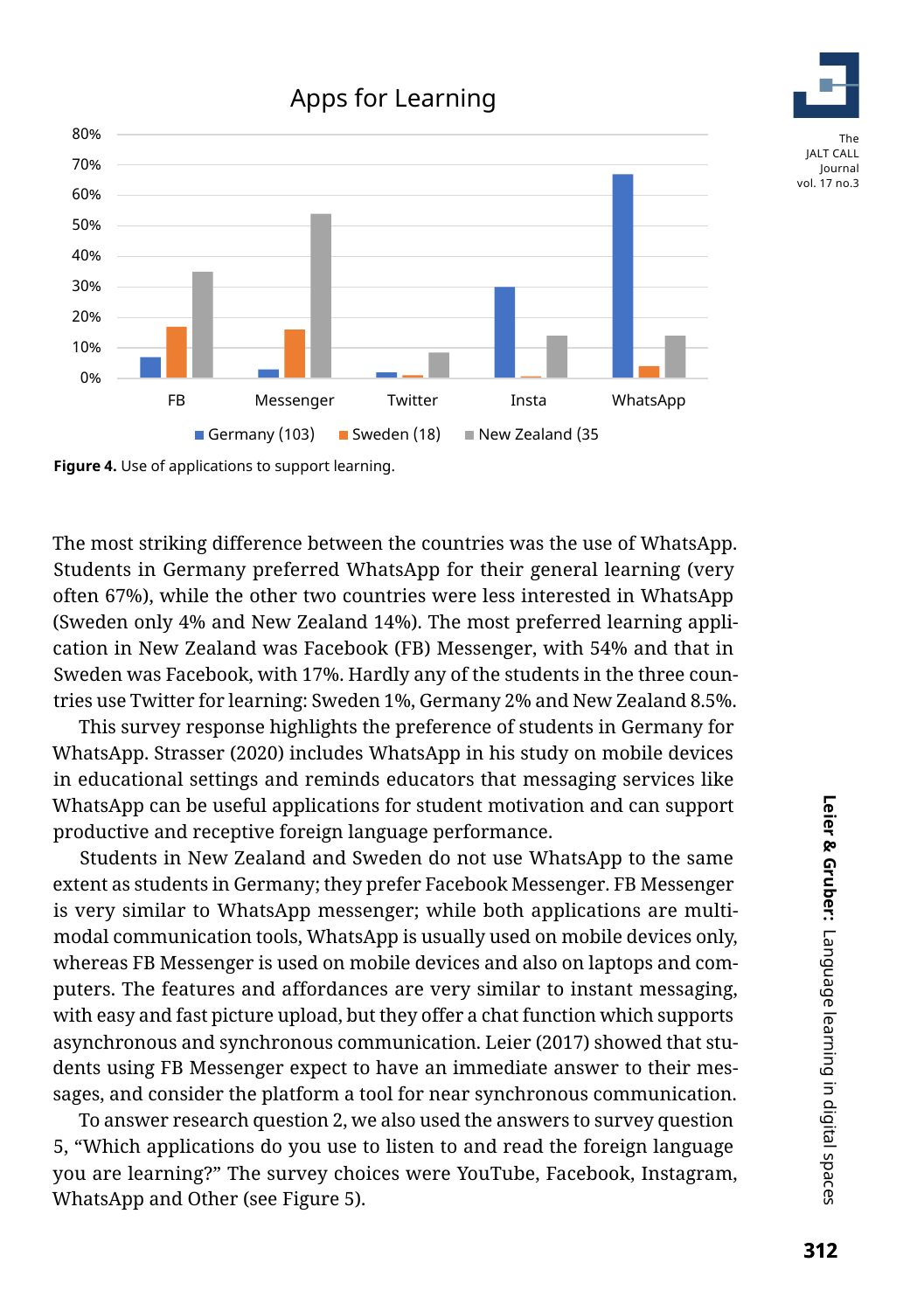# Apps for Learning





The most striking difference between the countries was the use of WhatsApp. Students in Germany preferred WhatsApp for their general learning (very often 67%), while the other two countries were less interested in WhatsApp (Sweden only 4% and New Zealand 14%). The most preferred learning application in New Zealand was Facebook (FB) Messenger, with 54% and that in Sweden was Facebook, with 17%. Hardly any of the students in the three countries use Twitter for learning: Sweden 1%, Germany 2% and New Zealand 8.5%.

This survey response highlights the preference of students in Germany for WhatsApp. Strasser (2020) includes WhatsApp in his study on mobile devices in educational settings and reminds educators that messaging services like WhatsApp can be useful applications for student motivation and can support productive and receptive foreign language performance.

Students in New Zealand and Sweden do not use WhatsApp to the same extent as students in Germany; they prefer Facebook Messenger. FB Messenger is very similar to WhatsApp messenger; while both applications are multimodal communication tools, WhatsApp is usually used on mobile devices only, whereas FB Messenger is used on mobile devices and also on laptops and computers. The features and affordances are very similar to instant messaging, with easy and fast picture upload, but they offer a chat function which supports asynchronous and synchronous communication. Leier (2017) showed that students using FB Messenger expect to have an immediate answer to their messages, and consider the platform a tool for near synchronous communication.

To answer research question 2, we also used the answers to survey question 5, "Which applications do you use to listen to and read the foreign language you are learning?" The survey choices were YouTube, Facebook, Instagram, WhatsApp and Other (see Figure 5).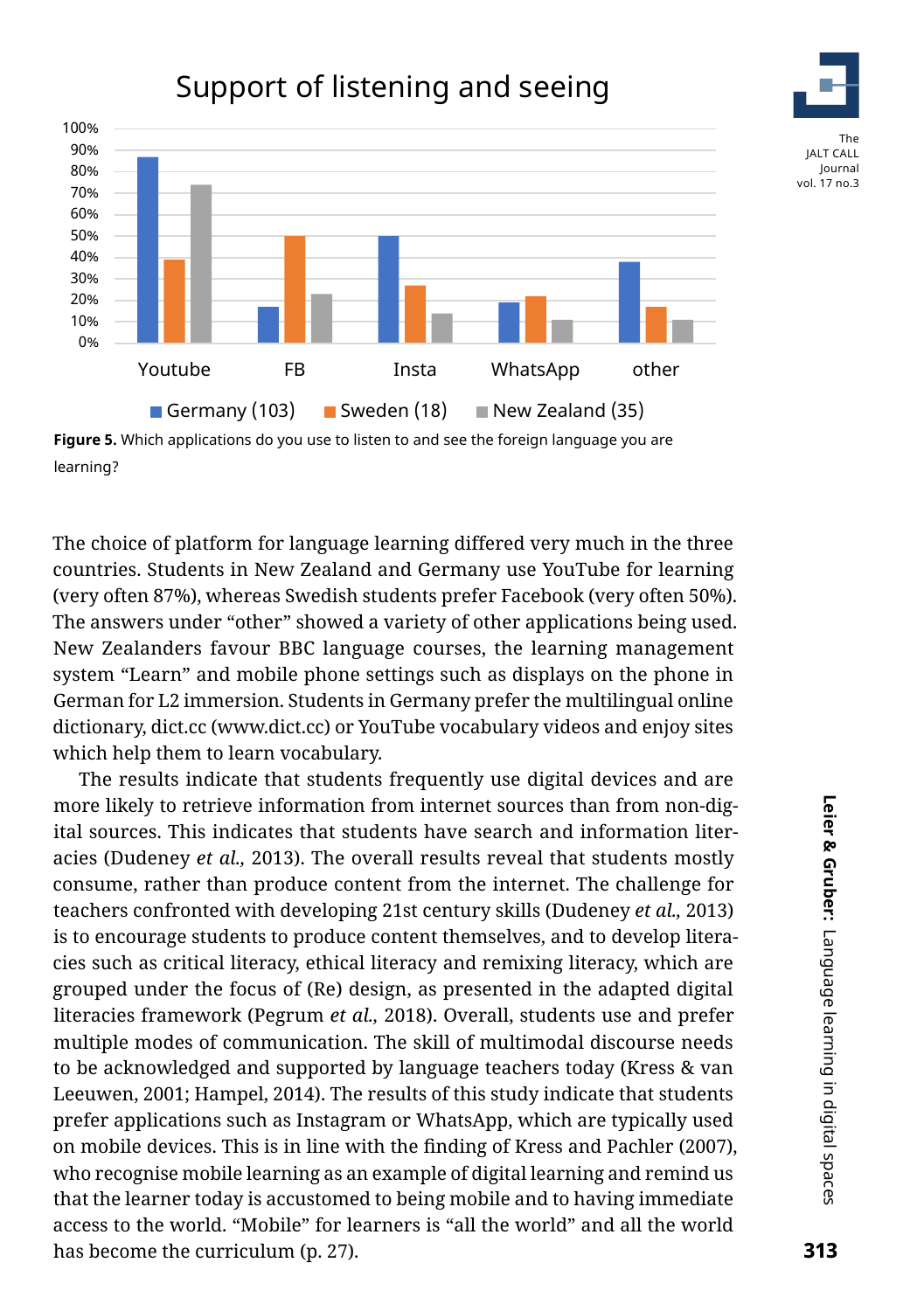# Support of listening and seeing



**Figure 5.** Which applications do you use to listen to and see the foreign language you are learning?

The choice of platform for language learning differed very much in the three countries. Students in New Zealand and Germany use YouTube for learning (very often 87%), whereas Swedish students prefer Facebook (very often 50%). The answers under "other" showed a variety of other applications being used. New Zealanders favour BBC language courses, the learning management system "Learn" and mobile phone settings such as displays on the phone in German for L2 immersion. Students in Germany prefer the multilingual online dictionary, dict.cc (www.dict.cc) or YouTube vocabulary videos and enjoy sites which help them to learn vocabulary.

The results indicate that students frequently use digital devices and are more likely to retrieve information from internet sources than from non-digital sources. This indicates that students have search and information literacies (Dudeney *et al.,* 2013). The overall results reveal that students mostly consume, rather than produce content from the internet. The challenge for teachers confronted with developing 21st century skills (Dudeney *et al.,* 2013) is to encourage students to produce content themselves, and to develop literacies such as critical literacy, ethical literacy and remixing literacy, which are grouped under the focus of (Re) design, as presented in the adapted digital literacies framework (Pegrum *et al.,* 2018). Overall, students use and prefer multiple modes of communication. The skill of multimodal discourse needs to be acknowledged and supported by language teachers today (Kress & van Leeuwen, 2001; Hampel, 2014). The results of this study indicate that students prefer applications such as Instagram or WhatsApp, which are typically used on mobile devices. This is in line with the finding of Kress and Pachler (2007), who recognise mobile learning as an example of digital learning and remind us that the learner today is accustomed to being mobile and to having immediate access to the world. "Mobile" for learners is "all the world" and all the world has become the curriculum (p. 27).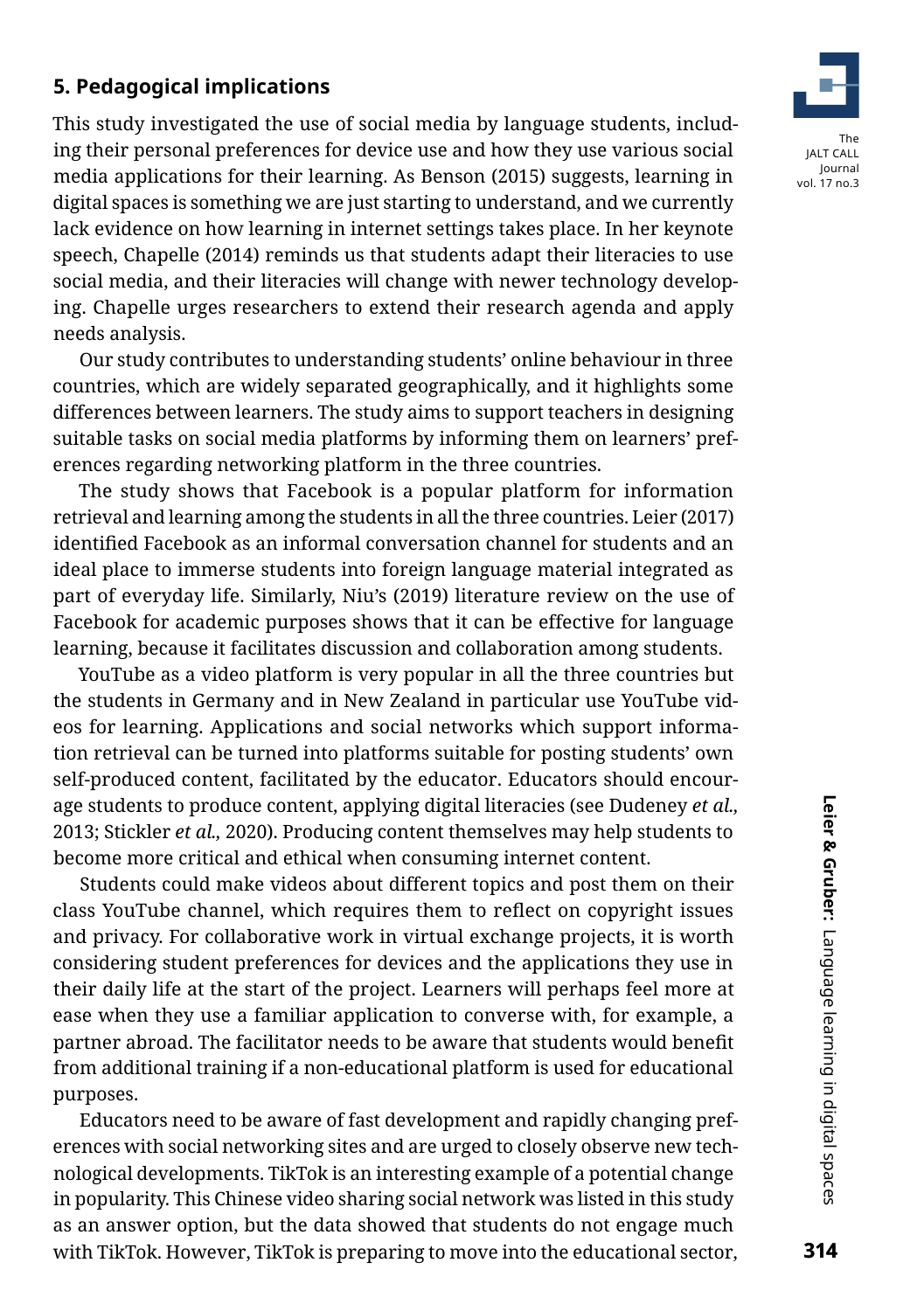### **5. Pedagogical implications**

This study investigated the use of social media by language students, including their personal preferences for device use and how they use various social media applications for their learning. As Benson (2015) suggests, learning in digital spaces is something we are just starting to understand, and we currently lack evidence on how learning in internet settings takes place. In her keynote speech, Chapelle (2014) reminds us that students adapt their literacies to use social media, and their literacies will change with newer technology developing. Chapelle urges researchers to extend their research agenda and apply needs analysis.

Our study contributes to understanding students' online behaviour in three countries, which are widely separated geographically, and it highlights some differences between learners. The study aims to support teachers in designing suitable tasks on social media platforms by informing them on learners' preferences regarding networking platform in the three countries.

The study shows that Facebook is a popular platform for information retrieval and learning among the students in all the three countries. Leier (2017) identified Facebook as an informal conversation channel for students and an ideal place to immerse students into foreign language material integrated as part of everyday life. Similarly, Niu's (2019) literature review on the use of Facebook for academic purposes shows that it can be effective for language learning, because it facilitates discussion and collaboration among students.

YouTube as a video platform is very popular in all the three countries but the students in Germany and in New Zealand in particular use YouTube videos for learning. Applications and social networks which support information retrieval can be turned into platforms suitable for posting students' own self-produced content, facilitated by the educator. Educators should encourage students to produce content, applying digital literacies (see Dudeney *et al.,* 2013; Stickler *et al.,* 2020). Producing content themselves may help students to become more critical and ethical when consuming internet content.

Students could make videos about different topics and post them on their class YouTube channel, which requires them to reflect on copyright issues and privacy. For collaborative work in virtual exchange projects, it is worth considering student preferences for devices and the applications they use in their daily life at the start of the project. Learners will perhaps feel more at ease when they use a familiar application to converse with, for example, a partner abroad. The facilitator needs to be aware that students would benefit from additional training if a non-educational platform is used for educational purposes.

Educators need to be aware of fast development and rapidly changing preferences with social networking sites and are urged to closely observe new technological developments. TikTok is an interesting example of a potential change in popularity. This Chinese video sharing social network was listed in this study as an answer option, but the data showed that students do not engage much with TikTok. However, TikTok is preparing to move into the educational sector,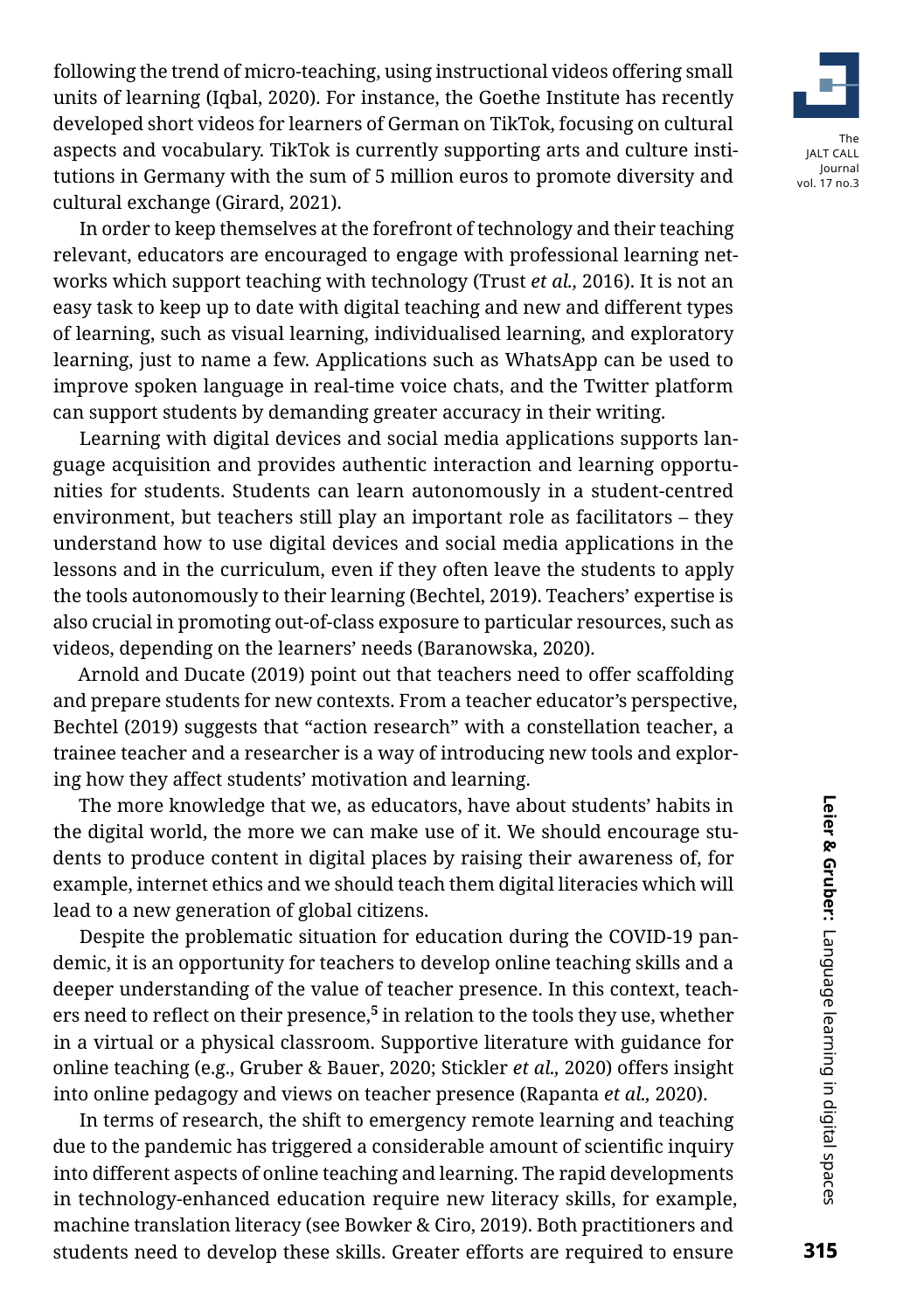following the trend of micro-teaching, using instructional videos offering small units of learning (Iqbal, 2020). For instance, the Goethe Institute has recently developed short videos for learners of German on TikTok, focusing on cultural aspects and vocabulary. TikTok is currently supporting arts and culture institutions in Germany with the sum of 5 million euros to promote diversity and cultural exchange (Girard, 2021).

In order to keep themselves at the forefront of technology and their teaching relevant, educators are encouraged to engage with professional learning networks which support teaching with technology (Trust *et al.,* 2016). It is not an easy task to keep up to date with digital teaching and new and different types of learning, such as visual learning, individualised learning, and exploratory learning, just to name a few. Applications such as WhatsApp can be used to improve spoken language in real-time voice chats, and the Twitter platform can support students by demanding greater accuracy in their writing.

Learning with digital devices and social media applications supports language acquisition and provides authentic interaction and learning opportunities for students. Students can learn autonomously in a student-centred environment, but teachers still play an important role as facilitators – they understand how to use digital devices and social media applications in the lessons and in the curriculum, even if they often leave the students to apply the tools autonomously to their learning (Bechtel, 2019). Teachers' expertise is also crucial in promoting out-of-class exposure to particular resources, such as videos, depending on the learners' needs (Baranowska, 2020).

Arnold and Ducate (2019) point out that teachers need to offer scaffolding and prepare students for new contexts. From a teacher educator's perspective, Bechtel (2019) suggests that "action research" with a constellation teacher, a trainee teacher and a researcher is a way of introducing new tools and exploring how they affect students' motivation and learning.

The more knowledge that we, as educators, have about students' habits in the digital world, the more we can make use of it. We should encourage students to produce content in digital places by raising their awareness of, for example, internet ethics and we should teach them digital literacies which will lead to a new generation of global citizens.

Despite the problematic situation for education during the COVID-19 pandemic, it is an opportunity for teachers to develop online teaching skills and a deeper understanding of the value of teacher presence. In this context, teachers need to reflect on their presence,**[5](#page-18-4)** in relation to the tools they use, whether in a virtual or a physical classroom. Supportive literature with guidance for online teaching (e.g., Gruber & Bauer, 2020; Stickler *et al.,* 2020) offers insight into online pedagogy and views on teacher presence (Rapanta *et al.,* 2020).

In terms of research, the shift to emergency remote learning and teaching due to the pandemic has triggered a considerable amount of scientific inquiry into different aspects of online teaching and learning. The rapid developments in technology-enhanced education require new literacy skills, for example, machine translation literacy (see Bowker & Ciro, 2019). Both practitioners and students need to develop these skills. Greater efforts are required to ensure

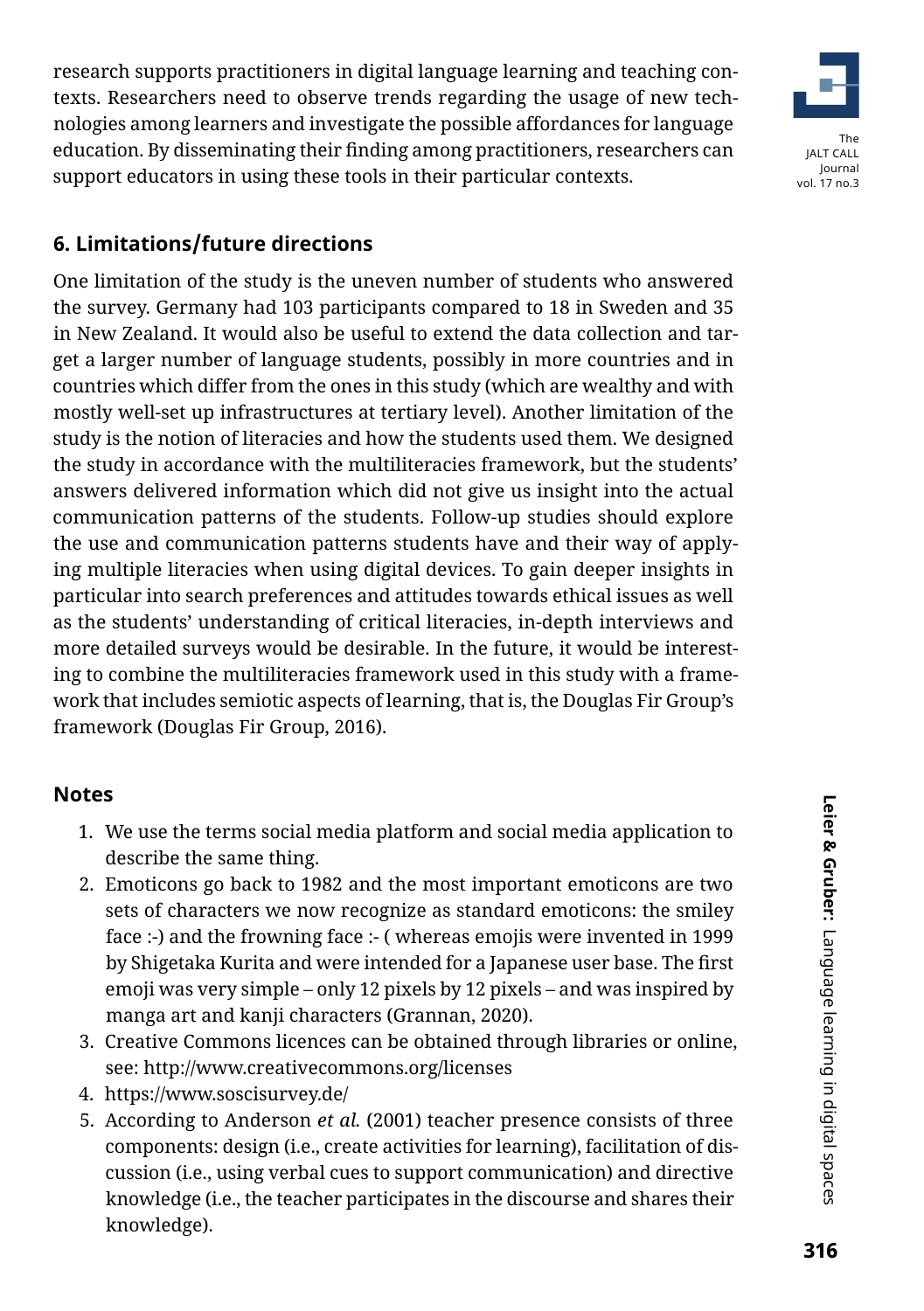research supports practitioners in digital language learning and teaching contexts. Researchers need to observe trends regarding the usage of new technologies among learners and investigate the possible affordances for language education. By disseminating their finding among practitioners, researchers can support educators in using these tools in their particular contexts.



# **6. Limitations/future directions**

One limitation of the study is the uneven number of students who answered the survey. Germany had 103 participants compared to 18 in Sweden and 35 in New Zealand. It would also be useful to extend the data collection and target a larger number of language students, possibly in more countries and in countries which differ from the ones in this study (which are wealthy and with mostly well-set up infrastructures at tertiary level). Another limitation of the study is the notion of literacies and how the students used them. We designed the study in accordance with the multiliteracies framework, but the students' answers delivered information which did not give us insight into the actual communication patterns of the students. Follow-up studies should explore the use and communication patterns students have and their way of applying multiple literacies when using digital devices. To gain deeper insights in particular into search preferences and attitudes towards ethical issues as well as the students' understanding of critical literacies, in-depth interviews and more detailed surveys would be desirable. In the future, it would be interesting to combine the multiliteracies framework used in this study with a framework that includes semiotic aspects of learning, that is, the Douglas Fir Group's framework (Douglas Fir Group, 2016).

### **Notes**

- <span id="page-18-0"></span>1. We use the terms social media platform and social media application to describe the same thing.
- <span id="page-18-1"></span>2. Emoticons go back to 1982 and the most important emoticons are two sets of characters we now recognize as standard emoticons: the smiley face :-) and the frowning face :- ( whereas emojis were invented in 1999 by Shigetaka Kurita and were intended for a Japanese user base. The first emoji was very simple – only 12 pixels by 12 pixels – and was inspired by manga art and kanji characters (Grannan, 2020).
- <span id="page-18-2"></span>3. Creative Commons licences can be obtained through libraries or online, see: <http://www.creativecommons.org/licenses>
- <span id="page-18-3"></span>4. <https://www.soscisurvey.de/>
- <span id="page-18-4"></span>5. According to Anderson *et al.* (2001) teacher presence consists of three components: design (i.e., create activities for learning), facilitation of discussion (i.e., using verbal cues to support communication) and directive knowledge (i.e., the teacher participates in the discourse and shares their knowledge).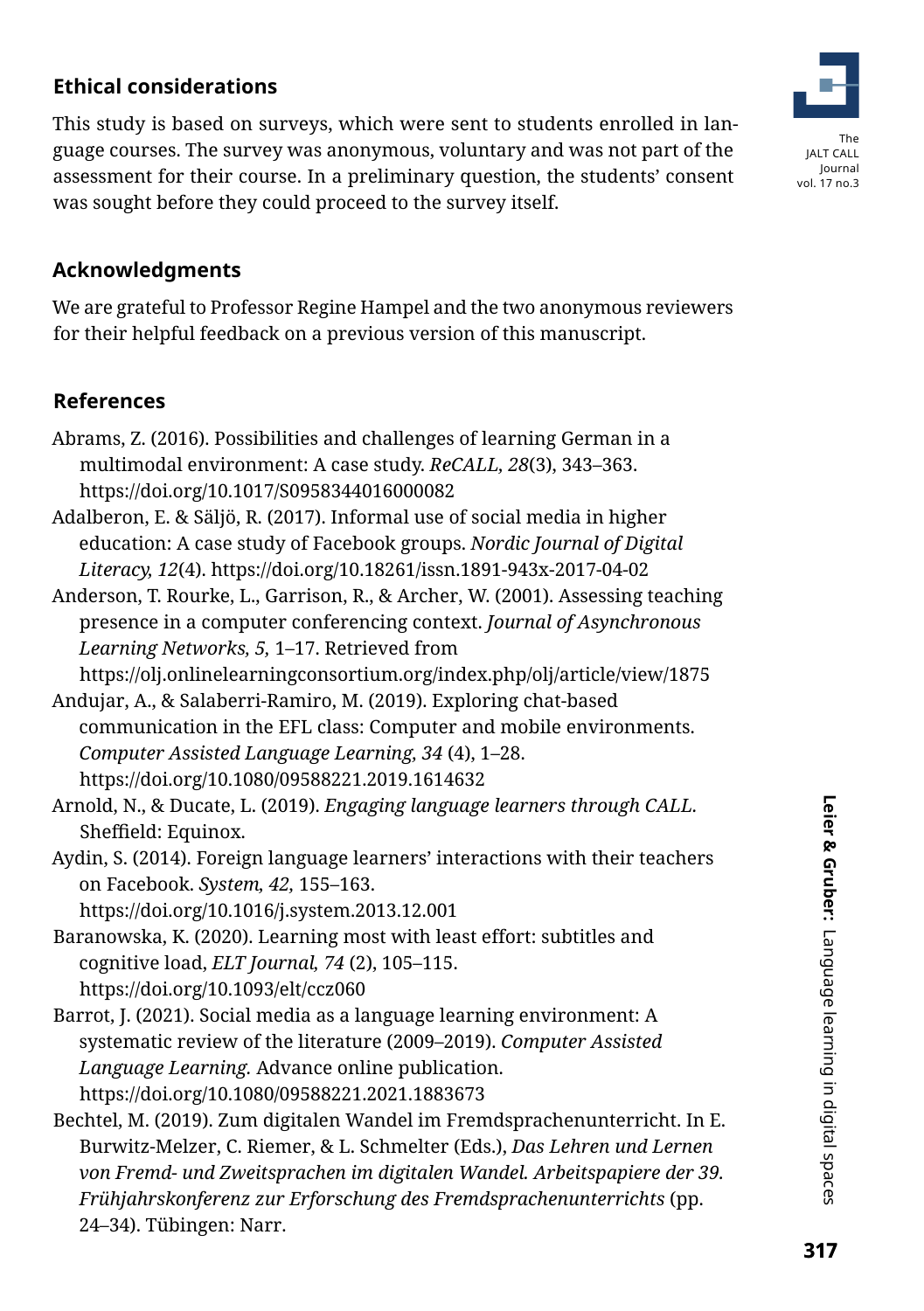# **Ethical considerations**

This study is based on surveys, which were sent to students enrolled in language courses. The survey was anonymous, voluntary and was not part of the assessment for their course. In a preliminary question, the students' consent was sought before they could proceed to the survey itself.



### **Acknowledgments**

We are grateful to Professor Regine Hampel and the two anonymous reviewers for their helpful feedback on a previous version of this manuscript.

### **References**

- Abrams, Z. (2016). Possibilities and challenges of learning German in a multimodal environment: A case study. *ReCALL, 28*(3), 343–363. https://doi.org/10.1017/S0958344016000082
- Adalberon, E. & Säljö, R. (2017). Informal use of social media in higher education: A case study of Facebook groups. *Nordic Journal of Digital Literacy, 12*(4). https://doi.org/10.18261/issn.1891-943x-2017-04-02
- Anderson, T. Rourke, L., Garrison, R., & Archer, W. (2001). Assessing teaching presence in a computer conferencing context. *Journal of Asynchronous Learning Networks, 5,* 1–17. Retrieved from

https://olj.onlinelearningconsortium.org/index.php/olj/article/view/1875

- Andujar, A., & Salaberri-Ramiro, M. (2019). Exploring chat-based communication in the EFL class: Computer and mobile environments. *Computer Assisted Language Learning, 34* (4), 1–28. https://doi.org/10.1080/09588221.2019.1614632
- Arnold, N., & Ducate, L. (2019). *Engaging language learners through CALL.* Sheffield: Equinox.
- Aydin, S. (2014). Foreign language learners' interactions with their teachers on Facebook. *System, 42,* 155–163.

https://doi.org/10.1016/j.system.2013.12.001

- Baranowska, K. (2020). Learning most with least effort: subtitles and cognitive load, *ELT Journal, 74* (2), 105–115. https://doi.org/10.1093/elt/ccz060
- Barrot, J. (2021). Social media as a language learning environment: A systematic review of the literature (2009–2019). *Computer Assisted Language Learning.* Advance online publication. https://doi.org/10.1080/09588221.2021.1883673
- Bechtel, M. (2019). Zum digitalen Wandel im Fremdsprachenunterricht. In E. Burwitz-Melzer, C. Riemer, & L. Schmelter (Eds.), *Das Lehren und Lernen von Fremd- und Zweitsprachen im digitalen Wandel. Arbeitspapiere der 39. Frühjahrskonferenz zur Erforschung des Fremdsprachenunterrichts* (pp. 24–34). Tübingen: Narr.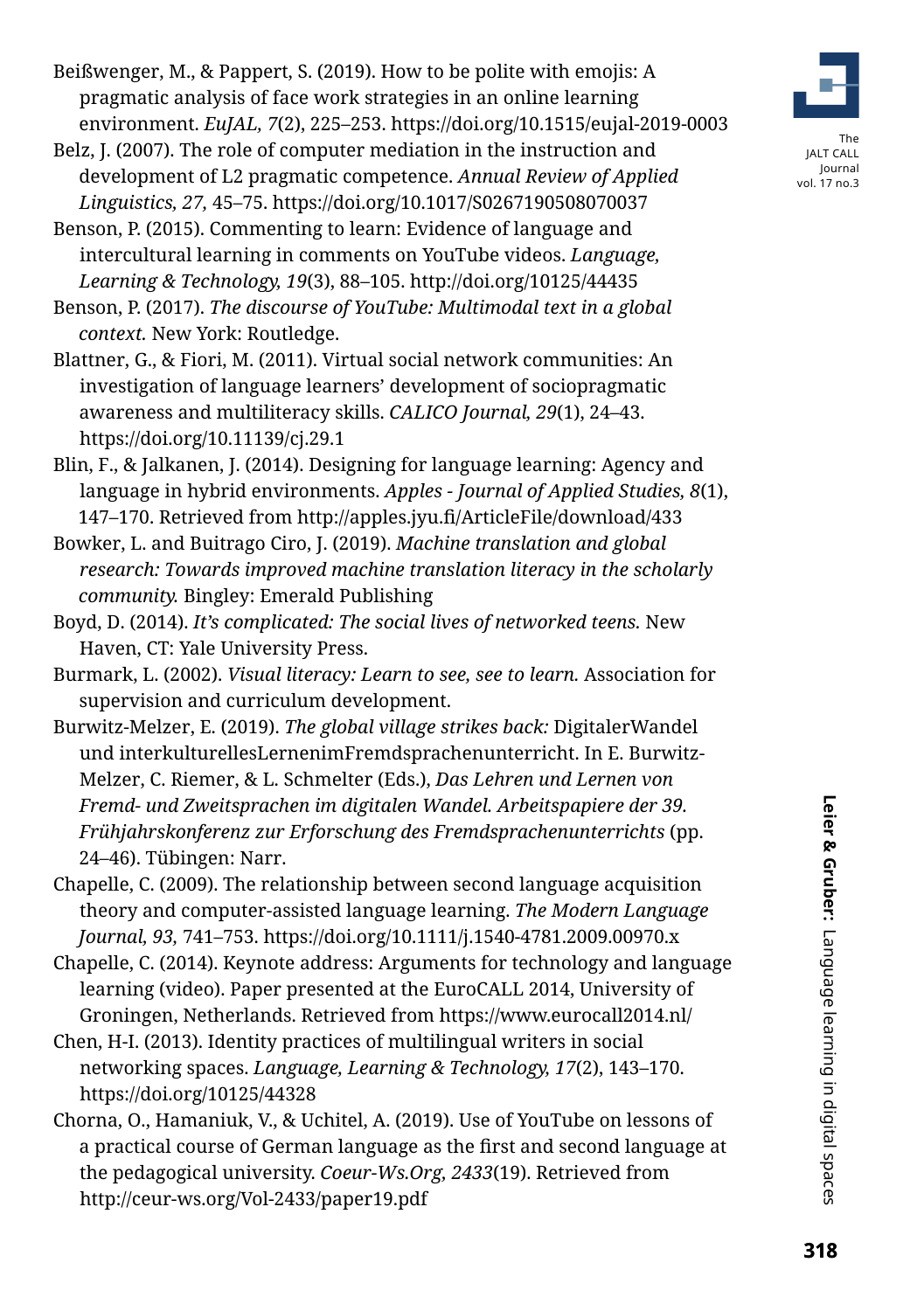Leier & Gruber: Language learning in digital spaces

- Beißwenger, M., & Pappert, S. (2019). How to be polite with emojis: A pragmatic analysis of face work strategies in an online learning environment. *EuJAL, 7*(2), 225–253. https://doi.org/10.1515/eujal-2019-0003
- Belz, J. (2007). The role of computer mediation in the instruction and development of L2 pragmatic competence. *Annual Review of Applied Linguistics, 27,* 45–75. https://doi.org/10.1017/S0267190508070037
- Benson, P. (2015). Commenting to learn: Evidence of language and intercultural learning in comments on YouTube videos. *Language, Learning & Technology, 19*(3), 88–105. http://doi.org/10125/44435
- Benson, P. (2017). *The discourse of YouTube: Multimodal text in a global context.* New York: Routledge.
- Blattner, G., & Fiori, M. (2011). Virtual social network communities: An investigation of language learners' development of sociopragmatic awareness and multiliteracy skills. *CALICO Journal, 29*(1), 24–43. https://doi.org/10.11139/cj.29.1
- Blin, F., & Jalkanen, J. (2014). Designing for language learning: Agency and language in hybrid environments. *Apples - Journal of Applied Studies, 8*(1), 147–170. Retrieved from http://apples.jyu.fi/ArticleFile/download/433
- Bowker, L. and Buitrago Ciro, J. (2019). *Machine translation and global research: Towards improved machine translation literacy in the scholarly community.* Bingley: Emerald Publishing
- Boyd, D. (2014). *It's complicated: The social lives of networked teens.* New Haven, CT: Yale University Press.
- Burmark, L. (2002). *Visual literacy: Learn to see, see to learn.* Association for supervision and curriculum development.
- Burwitz-Melzer, E. (2019). *The global village strikes back:* DigitalerWandel und interkulturellesLernenimFremdsprachenunterricht. In E. Burwitz-Melzer, C. Riemer, & L. Schmelter (Eds.), *Das Lehren und Lernen von Fremd- und Zweitsprachen im digitalen Wandel. Arbeitspapiere der 39. Frühjahrskonferenz zur Erforschung des Fremdsprachenunterrichts* (pp. 24–46). Tübingen: Narr.
- Chapelle, C. (2009). The relationship between second language acquisition theory and computer-assisted language learning. *The Modern Language Journal, 93,* 741–753. https://doi.org/10.1111/j.1540-4781.2009.00970.x
- Chapelle, C. (2014). Keynote address: Arguments for technology and language learning (video). Paper presented at the EuroCALL 2014, University of Groningen, Netherlands. Retrieved from https://www.eurocall2014.nl/
- Chen, H-I. (2013). Identity practices of multilingual writers in social networking spaces. *Language, Learning & Technology, 17*(2), 143–170. https://doi.org/10125/44328
- Chorna, O., Hamaniuk, V., & Uchitel, A. (2019). Use of YouTube on lessons of a practical course of German language as the first and second language at the pedagogical university. *Coeur-Ws.Org, 2433*(19). Retrieved from http://ceur-ws.org/Vol-2433/paper19.pdf

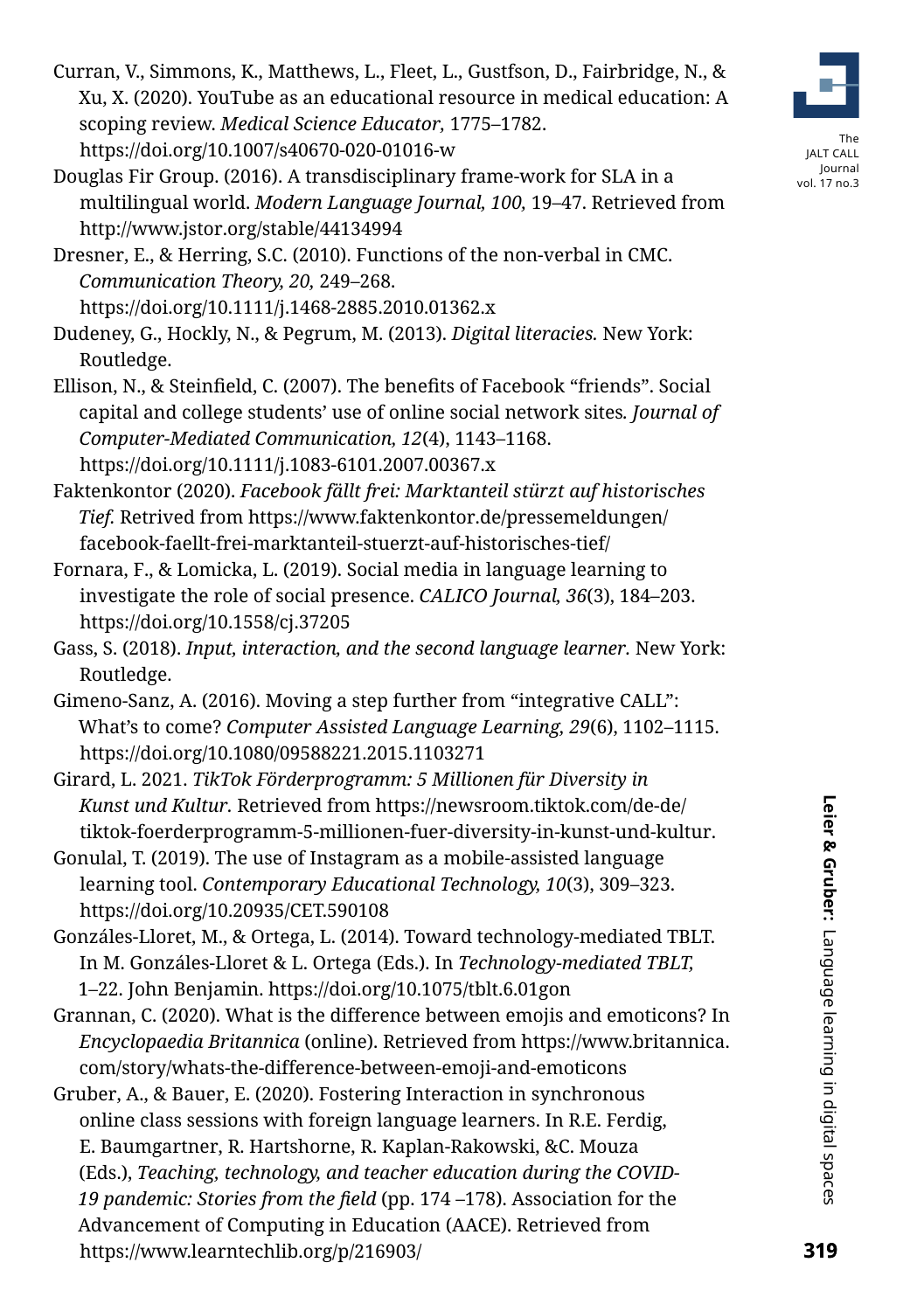Curran, V., Simmons, K., Matthews, L., Fleet, L., Gustfson, D., Fairbridge, N., & Xu, X. (2020). YouTube as an educational resource in medical education: A scoping review. *Medical Science Educator,* 1775–1782. https://doi.org/10.1007/s40670-020-01016-w

Douglas Fir Group. (2016). A transdisciplinary frame-work for SLA in a multilingual world. *Modern Language Journal, 100,* 19–47. Retrieved from http://www.jstor.org/stable/44134994

Dresner, E., & Herring, S.C. (2010). Functions of the non-verbal in CMC. *Communication Theory, 20,* 249–268. https://doi.org/10.1111/j.1468-2885.2010.01362.x

Dudeney, G., Hockly, N., & Pegrum, M. (2013). *Digital literacies.* New York: Routledge.

Ellison, N., & Steinfield, C. (2007). The benefits of Facebook "friends". Social capital and college students' use of online social network sites*. Journal of Computer-Mediated Communication, 12*(4), 1143–1168. https://doi.org/10.1111/j.1083-6101.2007.00367.x

Faktenkontor (2020). *Facebook fällt frei: Marktanteil stürzt auf historisches Tief.* Retrived from [https://www.faktenkontor.de/pressemeldungen/](https://www.faktenkontor.de/pressemeldungen/facebook-faellt-frei-marktanteil-stuerzt-auf-historisches-tief/) [facebook-faellt-frei-marktanteil-stuerzt-auf-historisches-tief/](https://www.faktenkontor.de/pressemeldungen/facebook-faellt-frei-marktanteil-stuerzt-auf-historisches-tief/)

Fornara, F., & Lomicka, L. (2019). Social media in language learning to investigate the role of social presence. *CALICO Journal, 36*(3), 184–203. https://doi.org/10.1558/cj.37205

Gass, S. (2018). *Input, interaction, and the second language learner.* New York: Routledge.

Gimeno-Sanz, A. (2016). Moving a step further from "integrative CALL": What's to come? *Computer Assisted Language Learning, 29*(6), 1102–1115. https://doi.org/10.1080/09588221.2015.1103271

Girard, L. 2021. *TikTok Förderprogramm: 5 Millionen für Diversity in Kunst und Kultur.* Retrieved from [https://newsroom.tiktok.com/de-de/](https://newsroom.tiktok.com/de-de/tiktok-foerderprogramm-5-millionen-fuer-diversity-in-kunst-und-kultur) [tiktok-foerderprogramm-5-millionen-fuer-diversity-in-kunst-und-kultur](https://newsroom.tiktok.com/de-de/tiktok-foerderprogramm-5-millionen-fuer-diversity-in-kunst-und-kultur).

Gonulal, T. (2019). The use of Instagram as a mobile-assisted language learning tool. *Contemporary Educational Technology, 10*(3), 309–323. https://doi.org/10.20935/CET.590108

Gonzáles-Lloret, M., & Ortega, L. (2014). Toward technology-mediated TBLT. In M. Gonzáles-Lloret & L. Ortega (Eds.). In *Technology-mediated TBLT,* 1–22. John Benjamin. https://doi.org/10.1075/tblt.6.01gon

Grannan, C. (2020). What is the difference between emojis and emoticons? In *Encyclopaedia Britannica* (online). Retrieved from [https://www.britannica.](https://www.britannica.com/story/whats-the-difference-between-emoji-and-emoticons) [com/story/whats-the-difference-between-emoji-and-emoticons](https://www.britannica.com/story/whats-the-difference-between-emoji-and-emoticons)

Gruber, A., & Bauer, E. (2020). Fostering Interaction in synchronous online class sessions with foreign language learners. In R.E. Ferdig, E. Baumgartner, R. Hartshorne, R. Kaplan-Rakowski, &C. Mouza (Eds.), *Teaching, technology, and teacher education during the COVID-19 pandemic: Stories from the field* (pp. 174 –178). Association for the Advancement of Computing in Education (AACE). Retrieved from https://www.learntechlib.org/p/216903/

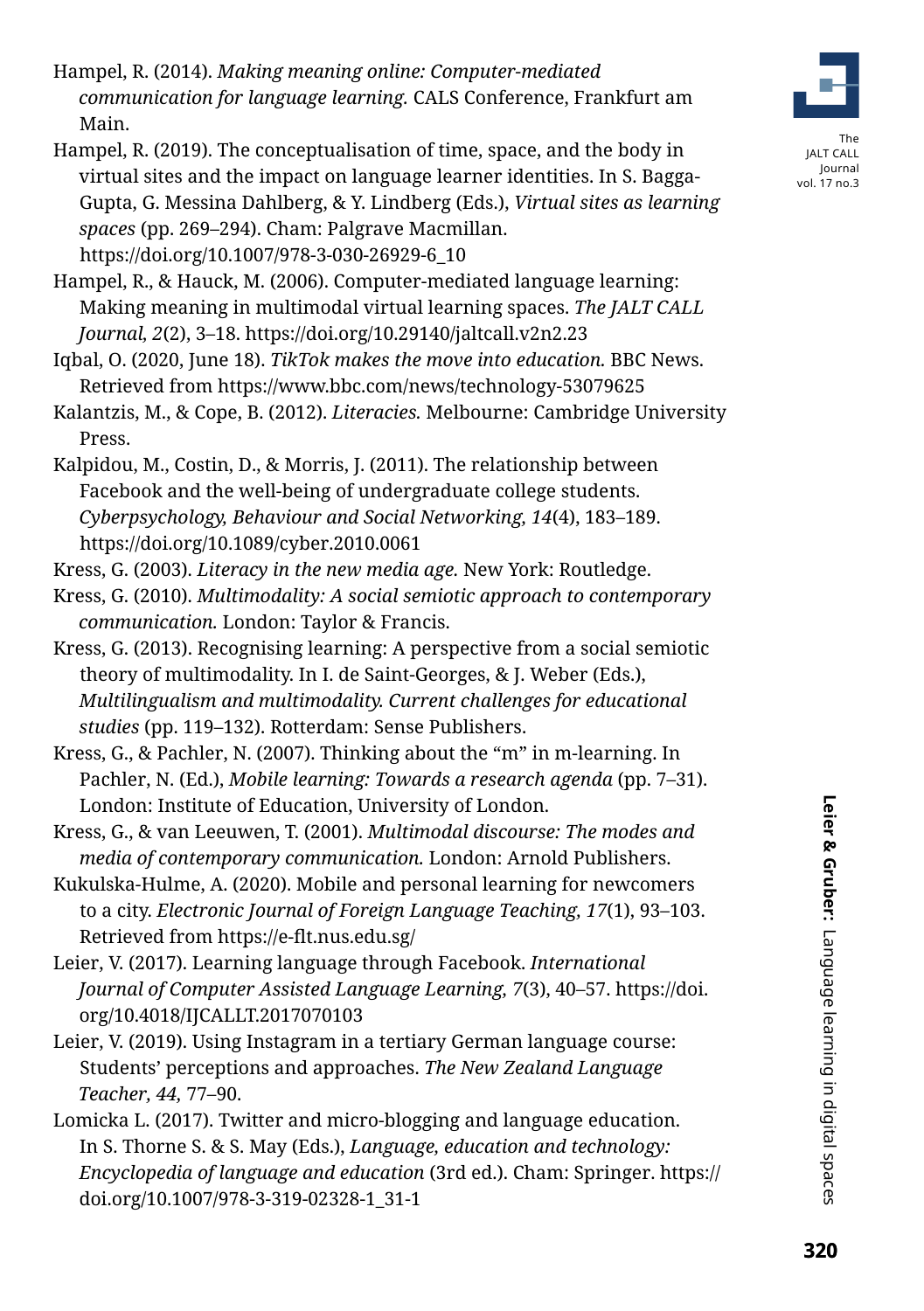- Hampel, R. (2014). *Making meaning online: Computer-mediated communication for language learning.* CALS Conference, Frankfurt am Main.
- Hampel, R. (2019). The conceptualisation of time, space, and the body in virtual sites and the impact on language learner identities. In S. Bagga-Gupta, G. Messina Dahlberg, & Y. Lindberg (Eds.), *Virtual sites as learning spaces* (pp. 269–294). Cham: Palgrave Macmillan. https://doi.org/10.1007/978-3-030-26929-6\_10
- Hampel, R., & Hauck, M. (2006). Computer-mediated language learning: Making meaning in multimodal virtual learning spaces. *The JALT CALL Journal, 2*(2), 3–18. https://doi.org/10.29140/jaltcall.v2n2.23
- Iqbal, O. (2020, June 18). *TikTok makes the move into education.* BBC News. Retrieved from https://www.bbc.com/news/technology-53079625
- Kalantzis, M., & Cope, B. (2012). *Literacies.* Melbourne: Cambridge University Press.
- Kalpidou, M., Costin, D., & Morris, J. (2011). The relationship between Facebook and the well-being of undergraduate college students. *Cyberpsychology, Behaviour and Social Networking, 14*(4), 183–189. https://doi.org/10.1089/cyber.2010.0061
- Kress, G. (2003). *Literacy in the new media age.* New York: Routledge.
- Kress, G. (2010). *Multimodality: A social semiotic approach to contemporary communication.* London: Taylor & Francis.
- Kress, G. (2013). Recognising learning: A perspective from a social semiotic theory of multimodality. In I. de Saint-Georges, & J. Weber (Eds.), *Multilingualism and multimodality. Current challenges for educational studies* (pp. 119–132). Rotterdam: Sense Publishers.
- Kress, G., & Pachler, N. (2007). Thinking about the "m" in m-learning. In Pachler, N. (Ed.), *Mobile learning: Towards a research agenda* (pp. 7–31). London: Institute of Education, University of London.
- Kress, G., & van Leeuwen, T. (2001). *Multimodal discourse: The modes and media of contemporary communication.* London: Arnold Publishers.
- Kukulska-Hulme, A. (2020). Mobile and personal learning for newcomers to a city. *Electronic Journal of Foreign Language Teaching, 17*(1), 93–103. Retrieved from https://e-flt.nus.edu.sg/
- Leier, V. (2017). Learning language through Facebook. *International Journal of Computer Assisted Language Learning, 7*(3), 40–57. https://doi. org/10.4018/IJCALLT.2017070103
- Leier, V. (2019). Using Instagram in a tertiary German language course: Students' perceptions and approaches. *The New Zealand Language Teacher, 44,* 77–90.
- Lomicka L. (2017). Twitter and micro-blogging and language education. In S. Thorne S. & S. May (Eds.), *Language, education and technology: Encyclopedia of language and education* (3rd ed.). Cham: Springer. https:// doi.org/10.1007/978-3-319-02328-1\_31-1

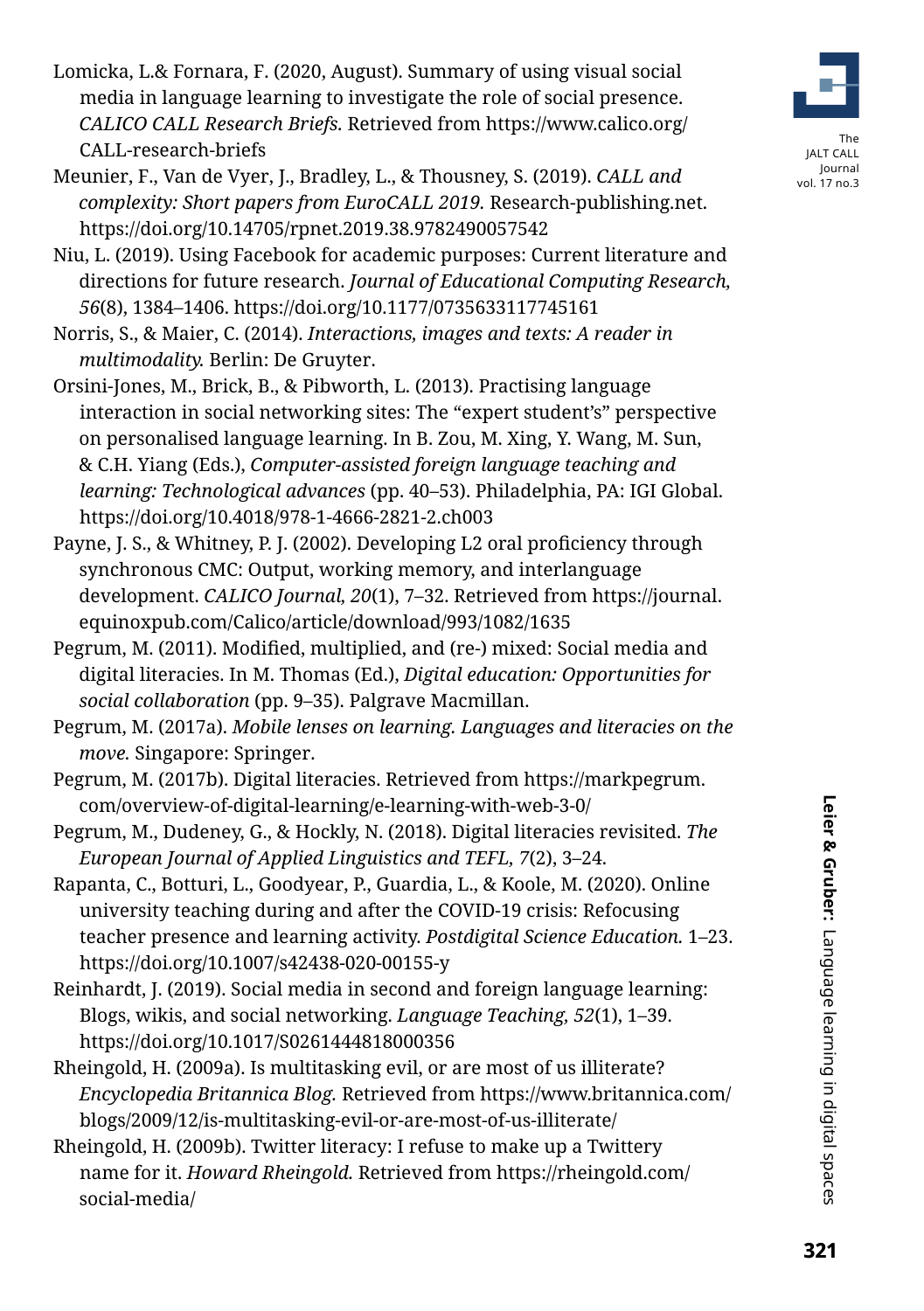- Meunier, F., Van de Vyer, J., Bradley, L., & Thousney, S. (2019). *CALL and complexity: Short papers from EuroCALL 2019.* Research-publishing.net. https://doi.org/10.14705/rpnet.2019.38.9782490057542
- Niu, L. (2019). Using Facebook for academic purposes: Current literature and directions for future research. *Journal of Educational Computing Research, 56*(8), 1384–1406. https://doi.org/10.1177/0735633117745161
- Norris, S., & Maier, C. (2014). *Interactions, images and texts: A reader in multimodality.* Berlin: De Gruyter.
- Orsini-Jones, M., Brick, B., & Pibworth, L. (2013). Practising language interaction in social networking sites: The "expert student's" perspective on personalised language learning. In B. Zou, M. Xing, Y. Wang, M. Sun, & C.H. Yiang (Eds.), *Computer-assisted foreign language teaching and learning: Technological advances* (pp. 40–53). Philadelphia, PA: IGI Global. https://doi.org/10.4018/978-1-4666-2821-2.ch003
- Payne, J. S., & Whitney, P. J. (2002). Developing L2 oral proficiency through synchronous CMC: Output, working memory, and interlanguage development. *CALICO Journal, 20*(1), 7–32. Retrieved from https://journal. equinoxpub.com/Calico/article/download/993/1082/1635
- Pegrum, M. (2011). Modified, multiplied, and (re-) mixed: Social media and digital literacies. In M. Thomas (Ed.), *Digital education: Opportunities for social collaboration* (pp. 9–35). Palgrave Macmillan.

Pegrum, M. (2017a). *Mobile lenses on learning. Languages and literacies on the move.* Singapore: Springer.

- Pegrum, M. (2017b). Digital literacies. Retrieved from https://markpegrum. com/overview-of-digital-learning/e-learning-with-web-3-0/
- Pegrum, M., Dudeney, G., & Hockly, N. (2018). Digital literacies revisited. *The European Journal of Applied Linguistics and TEFL, 7*(2), 3–24.
- Rapanta, C., Botturi, L., Goodyear, P., Guardia, L., & Koole, M. (2020). Online university teaching during and after the COVID-19 crisis: Refocusing teacher presence and learning activity. *Postdigital Science Education.* 1–23. https://doi.org/10.1007/s42438-020-00155-y
- Reinhardt, J. (2019). Social media in second and foreign language learning: Blogs, wikis, and social networking. *Language Teaching, 52*(1), 1–39. https://doi.org/10.1017/S0261444818000356
- Rheingold, H. (2009a). Is multitasking evil, or are most of us illiterate? *Encyclopedia Britannica Blog.* Retrieved from https://www.britannica.com/ blogs/2009/12/is-multitasking-evil-or-are-most-of-us-illiterate/
- Rheingold, H. (2009b). Twitter literacy: I refuse to make up a Twittery name for it. *Howard Rheingold.* Retrieved from https://rheingold.com/ social-media/

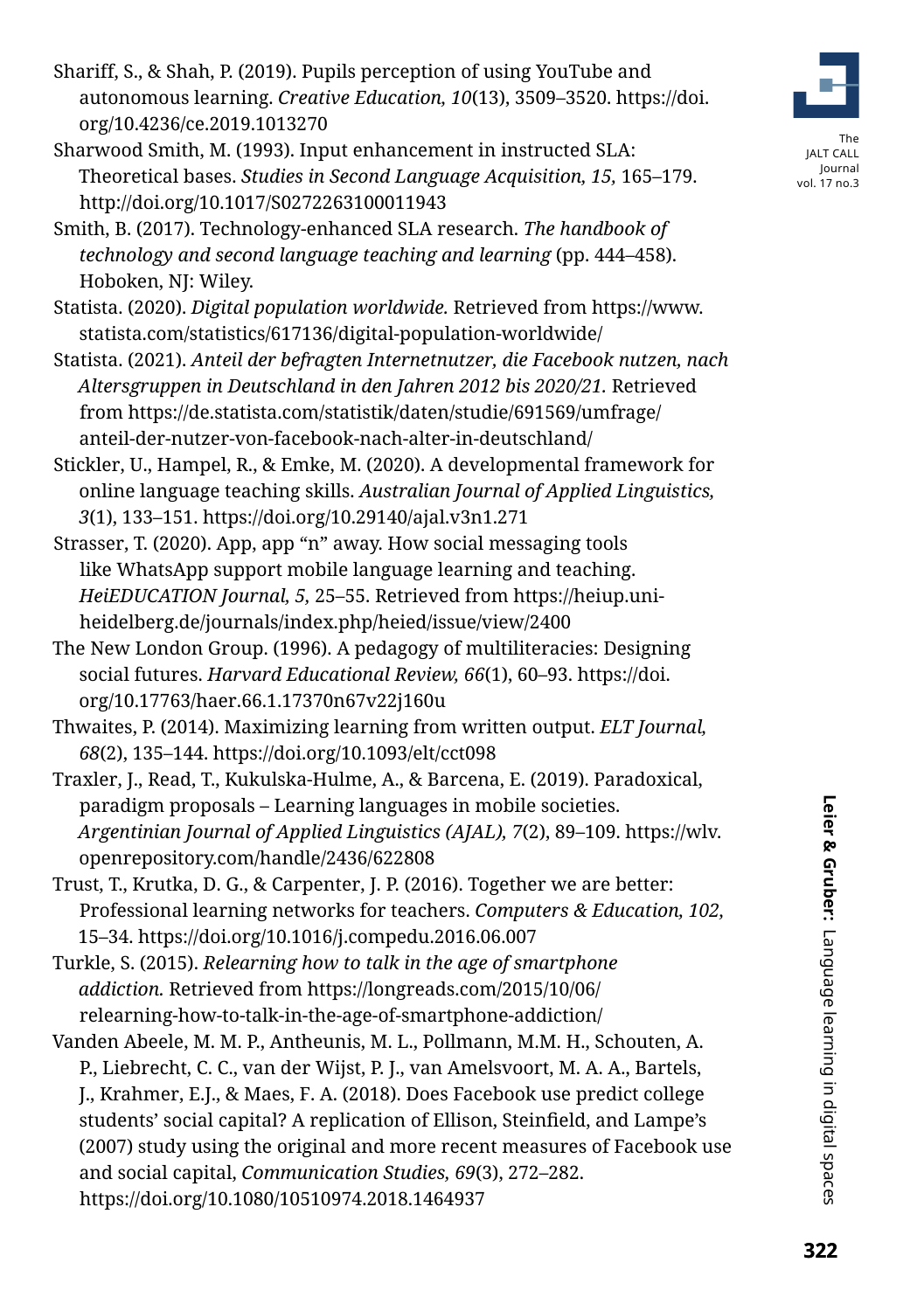- Shariff, S., & Shah, P. (2019). Pupils perception of using YouTube and autonomous learning. *Creative Education, 10*(13), 3509–3520. https://doi. org/10.4236/ce.2019.1013270
- Sharwood Smith, M. (1993). Input enhancement in instructed SLA: Theoretical bases. *Studies in Second Language Acquisition, 15,* 165–179. http://doi.org/10.1017/S0272263100011943
- Smith, B. (2017). Technology-enhanced SLA research. *The handbook of technology and second language teaching and learning* (pp. 444–458). Hoboken, NJ: Wiley.
- Statista. (2020). *Digital population worldwide.* Retrieved from https://www. statista.com/statistics/617136/digital-population-worldwide/
- Statista. (2021). *Anteil der befragten Internetnutzer, die Facebook nutzen, nach Altersgruppen in Deutschland in den Jahren 2012 bis 2020/21.* Retrieved from https://de.statista.com/statistik/daten/studie/691569/umfrage/ anteil-der-nutzer-von-facebook-nach-alter-in-deutschland/
- Stickler, U., Hampel, R., & Emke, M. (2020). A developmental framework for online language teaching skills. *Australian Journal of Applied Linguistics, 3*(1), 133–151. https://doi.org/10.29140/ajal.v3n1.271
- Strasser, T. (2020). App, app "n" away. How social messaging tools like WhatsApp support mobile language learning and teaching. *HeiEDUCATION Journal, 5,* 25–55. Retrieved from https://heiup.uniheidelberg.de/journals/index.php/heied/issue/view/2400
- The New London Group. (1996). A pedagogy of multiliteracies: Designing social futures. *Harvard Educational Review, 66*(1), 60–93. https://doi. org/10.17763/haer.66.1.17370n67v22j160u
- Thwaites, P. (2014). Maximizing learning from written output. *ELT Journal, 68*(2), 135–144. https://doi.org/10.1093/elt/cct098
- Traxler, J., Read, T., Kukulska-Hulme, A., & Barcena, E. (2019). Paradoxical, paradigm proposals – Learning languages in mobile societies. *Argentinian Journal of Applied Linguistics (AJAL), 7*(2), 89–109. https://wlv. openrepository.com/handle/2436/622808
- Trust, T., Krutka, D. G., & Carpenter, J. P. (2016). Together we are better: Professional learning networks for teachers. *Computers & Education, 102,* 15–34. https://doi.org/10.1016/j.compedu.2016.06.007
- Turkle, S. (2015). *Relearning how to talk in the age of smartphone addiction.* Retrieved from https://longreads.com/2015/10/06/ relearning-how-to-talk-in-the-age-of-smartphone-addiction/
- Vanden Abeele, M. M. P., Antheunis, M. L., Pollmann, M.M. H., Schouten, A. P., Liebrecht, C. C., van der Wijst, P. J., van Amelsvoort, M. A. A., Bartels, J., Krahmer, E.J., & Maes, F. A. (2018). Does Facebook use predict college students' social capital? A replication of Ellison, Steinfield, and Lampe's (2007) study using the original and more recent measures of Facebook use and social capital, *Communication Studies, 69*(3), 272–282. https://doi.org/10.1080/10510974.2018.1464937

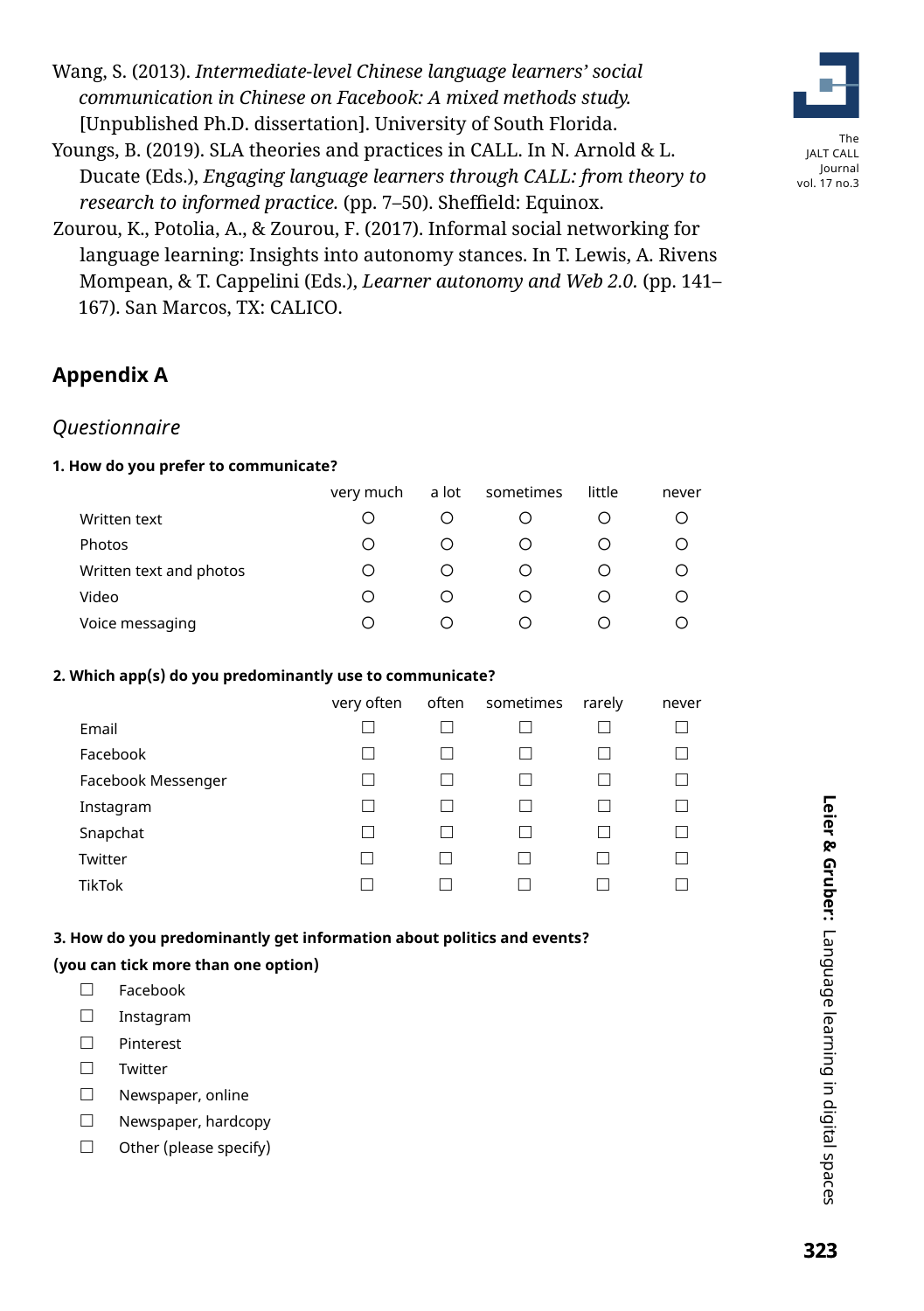Wang, S. (2013). *Intermediate-level Chinese language learners' social communication in Chinese on Facebook: A mixed methods study.* [Unpublished Ph.D. dissertation]. University of South Florida.

Youngs, B. (2019). SLA theories and practices in CALL. In N. Arnold & L. Ducate (Eds.), *Engaging language learners through CALL: from theory to research to informed practice.* (pp. 7–50). Sheffield: Equinox.



# **Appendix A**

### *Questionnaire*

### **1. How do you prefer to communicate?**

|                         | very much | a lot | sometimes | little | never |
|-------------------------|-----------|-------|-----------|--------|-------|
| Written text            | ∩         |       |           |        | ( )   |
| Photos                  | ∩         | ( )   |           |        |       |
| Written text and photos | Ω         |       |           |        |       |
| Video                   | ∩         |       |           |        |       |
| Voice messaging         | ∩         |       |           |        |       |

### **2. Which app(s) do you predominantly use to communicate?**

|                    | very often | often sometimes | rarely | never |
|--------------------|------------|-----------------|--------|-------|
| Email              |            |                 |        |       |
| Facebook           | П          |                 |        |       |
| Facebook Messenger | L          |                 |        |       |
| Instagram          | L          |                 |        |       |
| Snapchat           | П          |                 |        |       |
| Twitter            |            |                 |        |       |
| <b>TikTok</b>      |            |                 |        |       |

### **3. How do you predominantly get information about politics and events?**

### **(you can tick more than one option)**

- □ Facebook
- □ Instagram
- □ Pinterest
- □ Twitter
- □ Newspaper, online
- □ Newspaper, hardcopy
- $\Box$  Other (please specify)